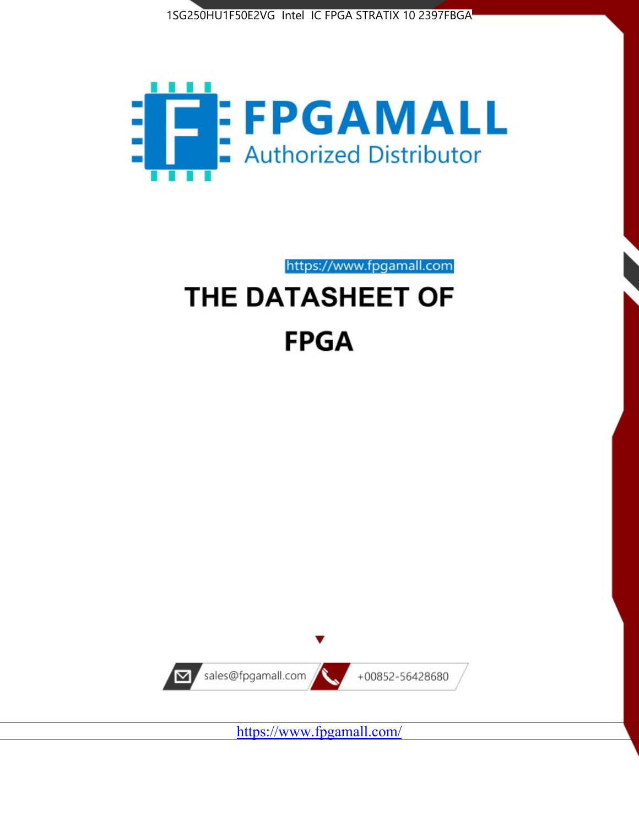



https://www.fpgamall.com

# THE DATASHEET OF **FPGA**



<https://www.fpgamall.com/>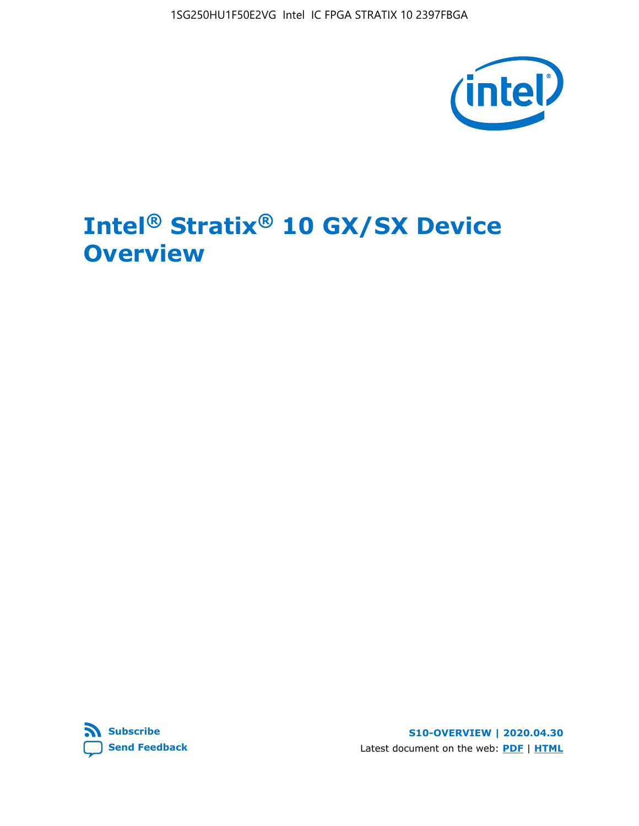

# **Intel® Stratix® 10 GX/SX Device Overview**



**S10-OVERVIEW | 2020.04.30** Latest document on the web: **[PDF](https://www.intel.com/content/dam/www/programmable/us/en/pdfs/literature/hb/stratix-10/s10-overview.pdf)** | **[HTML](https://www.intel.com/content/www/us/en/programmable/documentation/joc1442261161666.html)**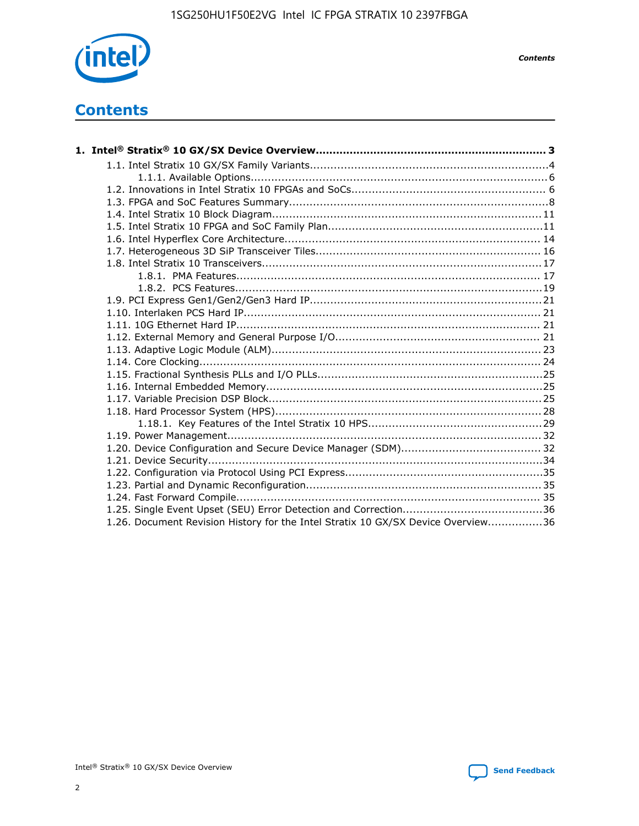

*Contents*

# **Contents**

| 1.26. Document Revision History for the Intel Stratix 10 GX/SX Device Overview36 |  |
|----------------------------------------------------------------------------------|--|

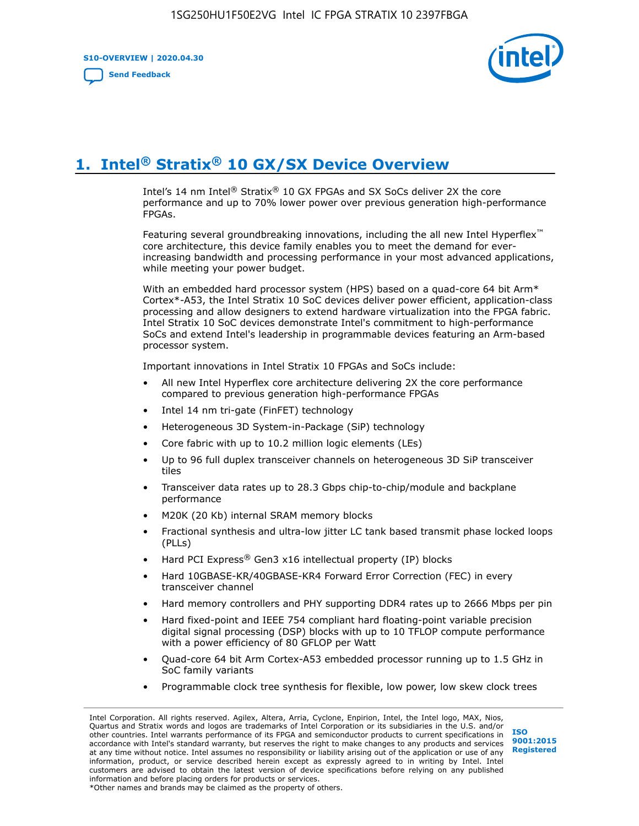**S10-OVERVIEW | 2020.04.30**

**[Send Feedback](mailto:FPGAtechdocfeedback@intel.com?subject=Feedback%20on%20Intel%20Stratix%2010%20GX/SX%20Device%20Overview%20(S10-OVERVIEW%202020.04.30)&body=We%20appreciate%20your%20feedback.%20In%20your%20comments,%20also%20specify%20the%20page%20number%20or%20paragraph.%20Thank%20you.)**



# **1. Intel® Stratix® 10 GX/SX Device Overview**

Intel's 14 nm Intel® Stratix® 10 GX FPGAs and SX SoCs deliver 2X the core performance and up to 70% lower power over previous generation high-performance FPGAs.

Featuring several groundbreaking innovations, including the all new Intel Hyperflex™ core architecture, this device family enables you to meet the demand for everincreasing bandwidth and processing performance in your most advanced applications, while meeting your power budget.

With an embedded hard processor system (HPS) based on a quad-core 64 bit Arm\* Cortex\*-A53, the Intel Stratix 10 SoC devices deliver power efficient, application-class processing and allow designers to extend hardware virtualization into the FPGA fabric. Intel Stratix 10 SoC devices demonstrate Intel's commitment to high-performance SoCs and extend Intel's leadership in programmable devices featuring an Arm-based processor system.

Important innovations in Intel Stratix 10 FPGAs and SoCs include:

- All new Intel Hyperflex core architecture delivering 2X the core performance compared to previous generation high-performance FPGAs
- Intel 14 nm tri-gate (FinFET) technology
- Heterogeneous 3D System-in-Package (SiP) technology
- Core fabric with up to 10.2 million logic elements (LEs)
- Up to 96 full duplex transceiver channels on heterogeneous 3D SiP transceiver tiles
- Transceiver data rates up to 28.3 Gbps chip-to-chip/module and backplane performance
- M20K (20 Kb) internal SRAM memory blocks
- Fractional synthesis and ultra-low jitter LC tank based transmit phase locked loops (PLLs)
- Hard PCI Express<sup>®</sup> Gen3 x16 intellectual property (IP) blocks
- Hard 10GBASE-KR/40GBASE-KR4 Forward Error Correction (FEC) in every transceiver channel
- Hard memory controllers and PHY supporting DDR4 rates up to 2666 Mbps per pin
- Hard fixed-point and IEEE 754 compliant hard floating-point variable precision digital signal processing (DSP) blocks with up to 10 TFLOP compute performance with a power efficiency of 80 GFLOP per Watt
- Quad-core 64 bit Arm Cortex-A53 embedded processor running up to 1.5 GHz in SoC family variants
- Programmable clock tree synthesis for flexible, low power, low skew clock trees

Intel Corporation. All rights reserved. Agilex, Altera, Arria, Cyclone, Enpirion, Intel, the Intel logo, MAX, Nios, Quartus and Stratix words and logos are trademarks of Intel Corporation or its subsidiaries in the U.S. and/or other countries. Intel warrants performance of its FPGA and semiconductor products to current specifications in accordance with Intel's standard warranty, but reserves the right to make changes to any products and services at any time without notice. Intel assumes no responsibility or liability arising out of the application or use of any information, product, or service described herein except as expressly agreed to in writing by Intel. Intel customers are advised to obtain the latest version of device specifications before relying on any published information and before placing orders for products or services. \*Other names and brands may be claimed as the property of others.

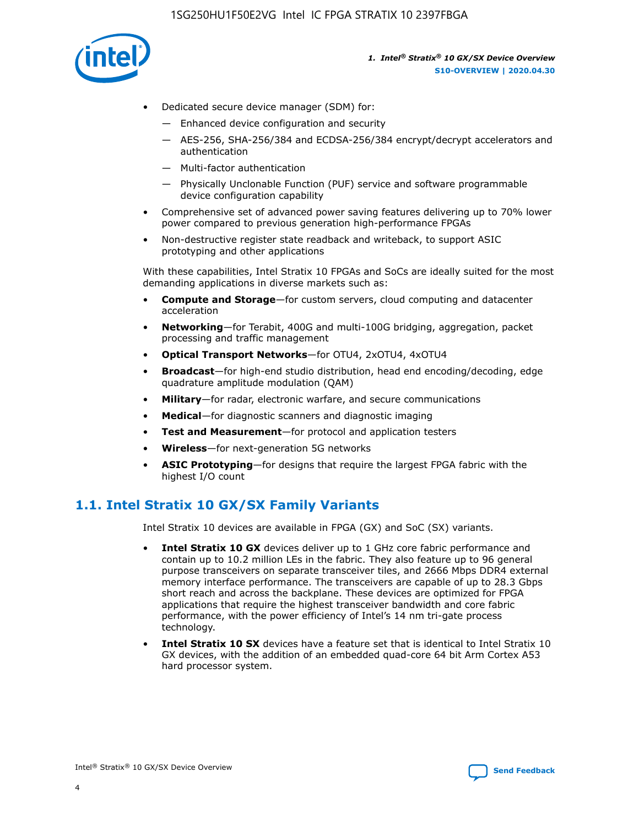

- Dedicated secure device manager (SDM) for:
	- Enhanced device configuration and security
	- AES-256, SHA-256/384 and ECDSA-256/384 encrypt/decrypt accelerators and authentication
	- Multi-factor authentication
	- Physically Unclonable Function (PUF) service and software programmable device configuration capability
- Comprehensive set of advanced power saving features delivering up to 70% lower power compared to previous generation high-performance FPGAs
- Non-destructive register state readback and writeback, to support ASIC prototyping and other applications

With these capabilities, Intel Stratix 10 FPGAs and SoCs are ideally suited for the most demanding applications in diverse markets such as:

- **Compute and Storage**—for custom servers, cloud computing and datacenter acceleration
- **Networking**—for Terabit, 400G and multi-100G bridging, aggregation, packet processing and traffic management
- **Optical Transport Networks**—for OTU4, 2xOTU4, 4xOTU4
- **Broadcast**—for high-end studio distribution, head end encoding/decoding, edge quadrature amplitude modulation (QAM)
- **Military**—for radar, electronic warfare, and secure communications
- **Medical**—for diagnostic scanners and diagnostic imaging
- **Test and Measurement**—for protocol and application testers
- **Wireless**—for next-generation 5G networks
- **ASIC Prototyping**—for designs that require the largest FPGA fabric with the highest I/O count

## **1.1. Intel Stratix 10 GX/SX Family Variants**

Intel Stratix 10 devices are available in FPGA (GX) and SoC (SX) variants.

- **Intel Stratix 10 GX** devices deliver up to 1 GHz core fabric performance and contain up to 10.2 million LEs in the fabric. They also feature up to 96 general purpose transceivers on separate transceiver tiles, and 2666 Mbps DDR4 external memory interface performance. The transceivers are capable of up to 28.3 Gbps short reach and across the backplane. These devices are optimized for FPGA applications that require the highest transceiver bandwidth and core fabric performance, with the power efficiency of Intel's 14 nm tri-gate process technology.
- **Intel Stratix 10 SX** devices have a feature set that is identical to Intel Stratix 10 GX devices, with the addition of an embedded quad-core 64 bit Arm Cortex A53 hard processor system.

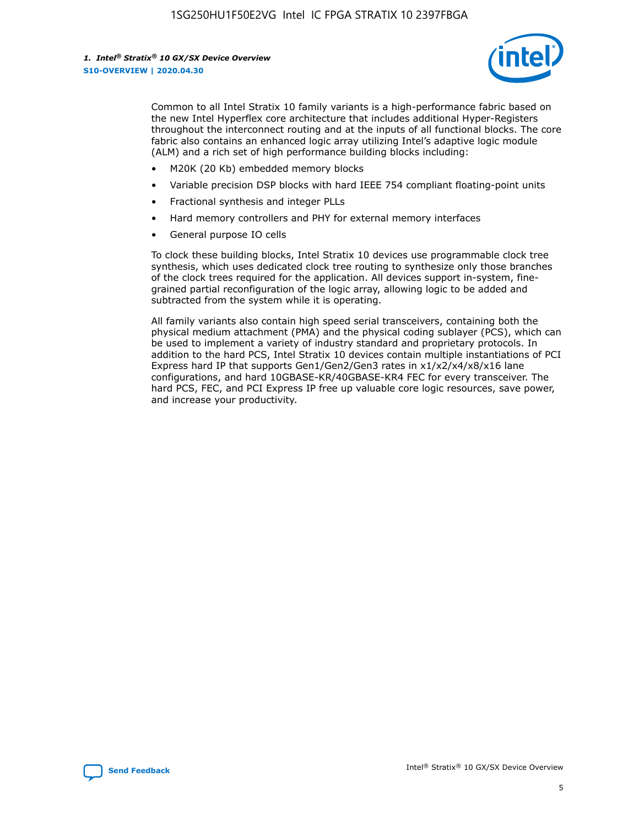

Common to all Intel Stratix 10 family variants is a high-performance fabric based on the new Intel Hyperflex core architecture that includes additional Hyper-Registers throughout the interconnect routing and at the inputs of all functional blocks. The core fabric also contains an enhanced logic array utilizing Intel's adaptive logic module (ALM) and a rich set of high performance building blocks including:

- M20K (20 Kb) embedded memory blocks
- Variable precision DSP blocks with hard IEEE 754 compliant floating-point units
- Fractional synthesis and integer PLLs
- Hard memory controllers and PHY for external memory interfaces
- General purpose IO cells

To clock these building blocks, Intel Stratix 10 devices use programmable clock tree synthesis, which uses dedicated clock tree routing to synthesize only those branches of the clock trees required for the application. All devices support in-system, finegrained partial reconfiguration of the logic array, allowing logic to be added and subtracted from the system while it is operating.

All family variants also contain high speed serial transceivers, containing both the physical medium attachment (PMA) and the physical coding sublayer (PCS), which can be used to implement a variety of industry standard and proprietary protocols. In addition to the hard PCS, Intel Stratix 10 devices contain multiple instantiations of PCI Express hard IP that supports Gen1/Gen2/Gen3 rates in x1/x2/x4/x8/x16 lane configurations, and hard 10GBASE-KR/40GBASE-KR4 FEC for every transceiver. The hard PCS, FEC, and PCI Express IP free up valuable core logic resources, save power, and increase your productivity.

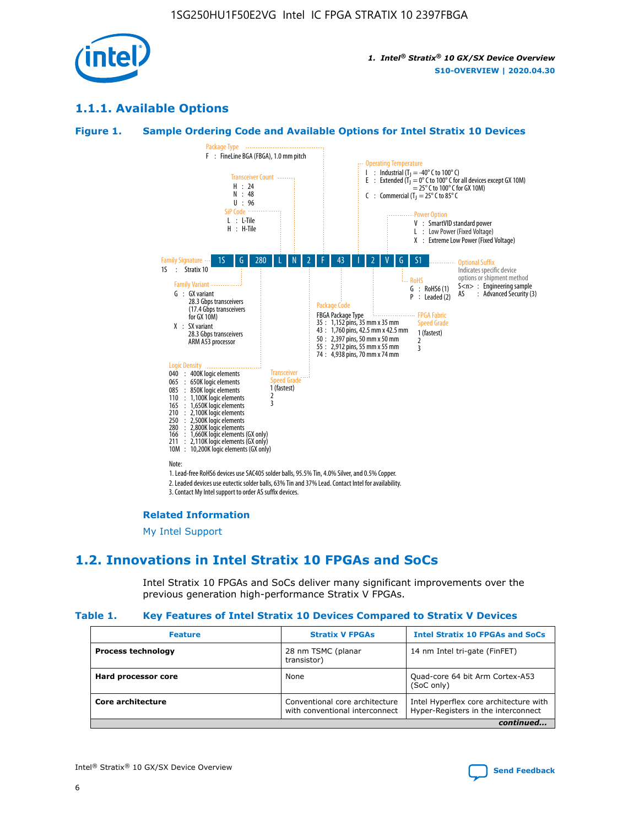

## **1.1.1. Available Options**

## **Figure 1. Sample Ordering Code and Available Options for Intel Stratix 10 Devices**



#### **Related Information**

[My Intel Support](https://www.intel.com/content/www/us/en/programmable/my-intel/mal-home.html)

## **1.2. Innovations in Intel Stratix 10 FPGAs and SoCs**

Intel Stratix 10 FPGAs and SoCs deliver many significant improvements over the previous generation high-performance Stratix V FPGAs.

#### **Table 1. Key Features of Intel Stratix 10 Devices Compared to Stratix V Devices**

| <b>Feature</b>            | <b>Stratix V FPGAs</b>                                           | <b>Intel Stratix 10 FPGAs and SoCs</b>                                        |  |
|---------------------------|------------------------------------------------------------------|-------------------------------------------------------------------------------|--|
| <b>Process technology</b> | 28 nm TSMC (planar<br>transistor)                                | 14 nm Intel tri-gate (FinFET)                                                 |  |
| Hard processor core       | None                                                             | Quad-core 64 bit Arm Cortex-A53<br>(SoC only)                                 |  |
| Core architecture         | Conventional core architecture<br>with conventional interconnect | Intel Hyperflex core architecture with<br>Hyper-Registers in the interconnect |  |
|                           |                                                                  | continued                                                                     |  |

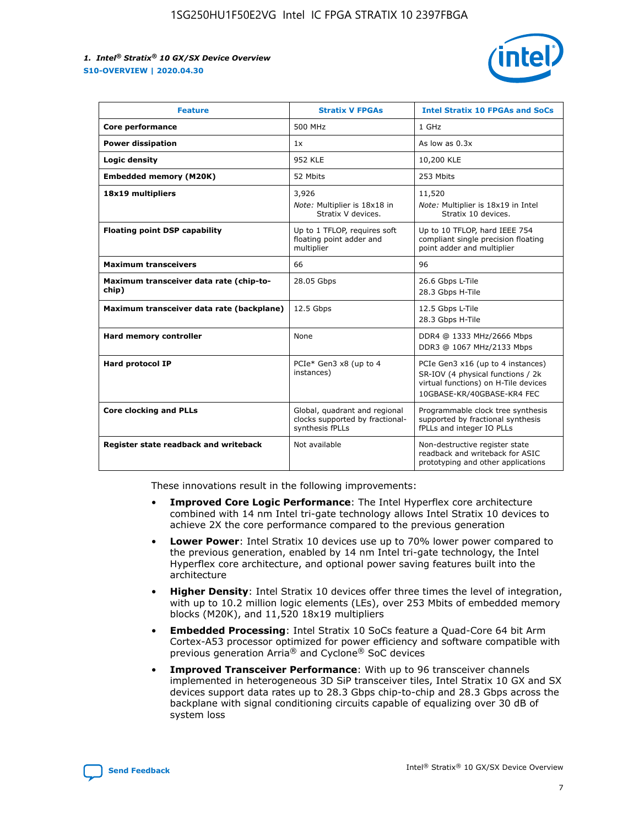

| <b>Feature</b>                                   | <b>Stratix V FPGAs</b>                                                              | <b>Intel Stratix 10 FPGAs and SoCs</b>                                                                                                       |
|--------------------------------------------------|-------------------------------------------------------------------------------------|----------------------------------------------------------------------------------------------------------------------------------------------|
| Core performance                                 | 500 MHz                                                                             | 1 GHz                                                                                                                                        |
| <b>Power dissipation</b>                         | 1x                                                                                  | As low as $0.3x$                                                                                                                             |
| Logic density                                    | 952 KLE                                                                             | 10,200 KLE                                                                                                                                   |
| <b>Embedded memory (M20K)</b>                    | 52 Mbits                                                                            | 253 Mbits                                                                                                                                    |
| 18x19 multipliers                                | 3,926                                                                               | 11,520                                                                                                                                       |
|                                                  | Note: Multiplier is 18x18 in<br>Stratix V devices.                                  | Note: Multiplier is 18x19 in Intel<br>Stratix 10 devices.                                                                                    |
| <b>Floating point DSP capability</b>             | Up to 1 TFLOP, requires soft<br>floating point adder and<br>multiplier              | Up to 10 TFLOP, hard IEEE 754<br>compliant single precision floating<br>point adder and multiplier                                           |
| <b>Maximum transceivers</b>                      | 66                                                                                  | 96                                                                                                                                           |
| Maximum transceiver data rate (chip-to-<br>chip) | 28.05 Gbps                                                                          | 26.6 Gbps L-Tile<br>28.3 Gbps H-Tile                                                                                                         |
| Maximum transceiver data rate (backplane)        | 12.5 Gbps                                                                           | 12.5 Gbps L-Tile<br>28.3 Gbps H-Tile                                                                                                         |
| Hard memory controller                           | None                                                                                | DDR4 @ 1333 MHz/2666 Mbps<br>DDR3 @ 1067 MHz/2133 Mbps                                                                                       |
| <b>Hard protocol IP</b>                          | PCIe* Gen3 x8 (up to 4<br>instances)                                                | PCIe Gen3 x16 (up to 4 instances)<br>SR-IOV (4 physical functions / 2k<br>virtual functions) on H-Tile devices<br>10GBASE-KR/40GBASE-KR4 FEC |
| <b>Core clocking and PLLs</b>                    | Global, quadrant and regional<br>clocks supported by fractional-<br>synthesis fPLLs | Programmable clock tree synthesis<br>supported by fractional synthesis<br>fPLLs and integer IO PLLs                                          |
| Register state readback and writeback            | Not available                                                                       | Non-destructive register state<br>readback and writeback for ASIC<br>prototyping and other applications                                      |

These innovations result in the following improvements:

- **Improved Core Logic Performance**: The Intel Hyperflex core architecture combined with 14 nm Intel tri-gate technology allows Intel Stratix 10 devices to achieve 2X the core performance compared to the previous generation
- **Lower Power**: Intel Stratix 10 devices use up to 70% lower power compared to the previous generation, enabled by 14 nm Intel tri-gate technology, the Intel Hyperflex core architecture, and optional power saving features built into the architecture
- **Higher Density**: Intel Stratix 10 devices offer three times the level of integration, with up to 10.2 million logic elements (LEs), over 253 Mbits of embedded memory blocks (M20K), and 11,520 18x19 multipliers
- **Embedded Processing**: Intel Stratix 10 SoCs feature a Quad-Core 64 bit Arm Cortex-A53 processor optimized for power efficiency and software compatible with previous generation Arria® and Cyclone® SoC devices
- **Improved Transceiver Performance**: With up to 96 transceiver channels implemented in heterogeneous 3D SiP transceiver tiles, Intel Stratix 10 GX and SX devices support data rates up to 28.3 Gbps chip-to-chip and 28.3 Gbps across the backplane with signal conditioning circuits capable of equalizing over 30 dB of system loss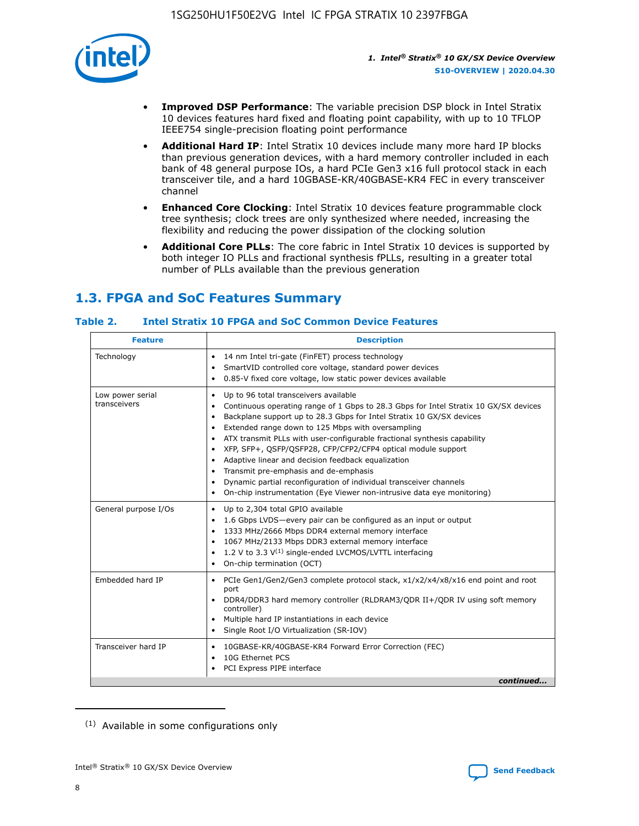

- **Improved DSP Performance**: The variable precision DSP block in Intel Stratix 10 devices features hard fixed and floating point capability, with up to 10 TFLOP IEEE754 single-precision floating point performance
- **Additional Hard IP**: Intel Stratix 10 devices include many more hard IP blocks than previous generation devices, with a hard memory controller included in each bank of 48 general purpose IOs, a hard PCIe Gen3 x16 full protocol stack in each transceiver tile, and a hard 10GBASE-KR/40GBASE-KR4 FEC in every transceiver channel
- **Enhanced Core Clocking**: Intel Stratix 10 devices feature programmable clock tree synthesis; clock trees are only synthesized where needed, increasing the flexibility and reducing the power dissipation of the clocking solution
- **Additional Core PLLs**: The core fabric in Intel Stratix 10 devices is supported by both integer IO PLLs and fractional synthesis fPLLs, resulting in a greater total number of PLLs available than the previous generation

# **1.3. FPGA and SoC Features Summary**

## **Table 2. Intel Stratix 10 FPGA and SoC Common Device Features**

| <b>Feature</b>                   | <b>Description</b>                                                                                                                                                                                                                                                                                                                                                                                                                                                                                                                                                                                                                    |
|----------------------------------|---------------------------------------------------------------------------------------------------------------------------------------------------------------------------------------------------------------------------------------------------------------------------------------------------------------------------------------------------------------------------------------------------------------------------------------------------------------------------------------------------------------------------------------------------------------------------------------------------------------------------------------|
| Technology                       | 14 nm Intel tri-gate (FinFET) process technology<br>٠<br>SmartVID controlled core voltage, standard power devices<br>0.85-V fixed core voltage, low static power devices available<br>$\bullet$                                                                                                                                                                                                                                                                                                                                                                                                                                       |
| Low power serial<br>transceivers | Up to 96 total transceivers available<br>٠<br>Continuous operating range of 1 Gbps to 28.3 Gbps for Intel Stratix 10 GX/SX devices<br>٠<br>Backplane support up to 28.3 Gbps for Intel Stratix 10 GX/SX devices<br>$\bullet$<br>Extended range down to 125 Mbps with oversampling<br>$\bullet$<br>ATX transmit PLLs with user-configurable fractional synthesis capability<br>٠<br>• XFP, SFP+, QSFP/QSFP28, CFP/CFP2/CFP4 optical module support<br>• Adaptive linear and decision feedback equalization<br>Transmit pre-emphasis and de-emphasis<br>Dynamic partial reconfiguration of individual transceiver channels<br>$\bullet$ |
|                                  | On-chip instrumentation (Eye Viewer non-intrusive data eye monitoring)<br>$\bullet$                                                                                                                                                                                                                                                                                                                                                                                                                                                                                                                                                   |
| General purpose I/Os             | Up to 2,304 total GPIO available<br>$\bullet$<br>1.6 Gbps LVDS-every pair can be configured as an input or output<br>1333 MHz/2666 Mbps DDR4 external memory interface<br>1067 MHz/2133 Mbps DDR3 external memory interface<br>• 1.2 V to 3.3 $V^{(1)}$ single-ended LVCMOS/LVTTL interfacing<br>• On-chip termination (OCT)                                                                                                                                                                                                                                                                                                          |
| Embedded hard IP                 | • PCIe Gen1/Gen2/Gen3 complete protocol stack, x1/x2/x4/x8/x16 end point and root<br>port<br>DDR4/DDR3 hard memory controller (RLDRAM3/QDR II+/QDR IV using soft memory<br>$\bullet$<br>controller)<br>• Multiple hard IP instantiations in each device<br>• Single Root I/O Virtualization (SR-IOV)                                                                                                                                                                                                                                                                                                                                  |
| Transceiver hard IP              | 10GBASE-KR/40GBASE-KR4 Forward Error Correction (FEC)<br>$\bullet$<br>10G Ethernet PCS<br>$\bullet$<br>PCI Express PIPE interface<br>٠<br>continued                                                                                                                                                                                                                                                                                                                                                                                                                                                                                   |
|                                  |                                                                                                                                                                                                                                                                                                                                                                                                                                                                                                                                                                                                                                       |

<sup>(1)</sup> Available in some configurations only

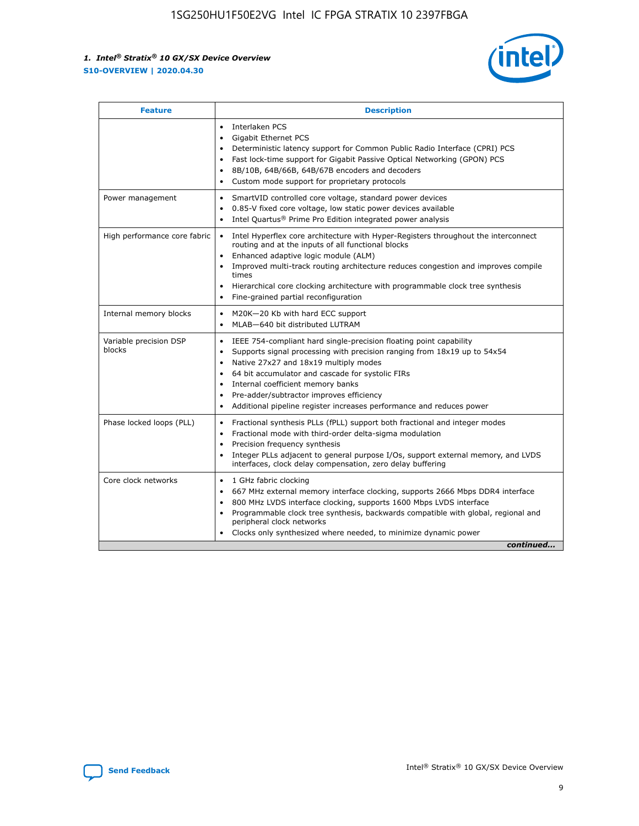

| <b>Feature</b>                   | <b>Description</b>                                                                                                                                                                                                                                                                                                                                                                                                                                                    |
|----------------------------------|-----------------------------------------------------------------------------------------------------------------------------------------------------------------------------------------------------------------------------------------------------------------------------------------------------------------------------------------------------------------------------------------------------------------------------------------------------------------------|
|                                  | Interlaken PCS<br>Gigabit Ethernet PCS<br>$\bullet$<br>Deterministic latency support for Common Public Radio Interface (CPRI) PCS<br>$\bullet$<br>Fast lock-time support for Gigabit Passive Optical Networking (GPON) PCS<br>$\bullet$<br>8B/10B, 64B/66B, 64B/67B encoders and decoders<br>$\bullet$<br>Custom mode support for proprietary protocols                                                                                                               |
| Power management                 | SmartVID controlled core voltage, standard power devices<br>٠<br>0.85-V fixed core voltage, low static power devices available<br>$\bullet$<br>Intel Quartus <sup>®</sup> Prime Pro Edition integrated power analysis                                                                                                                                                                                                                                                 |
| High performance core fabric     | Intel Hyperflex core architecture with Hyper-Registers throughout the interconnect<br>routing and at the inputs of all functional blocks<br>Enhanced adaptive logic module (ALM)<br>$\bullet$<br>Improved multi-track routing architecture reduces congestion and improves compile<br>times<br>Hierarchical core clocking architecture with programmable clock tree synthesis<br>$\bullet$<br>Fine-grained partial reconfiguration                                    |
| Internal memory blocks           | M20K-20 Kb with hard ECC support<br>٠<br>MLAB-640 bit distributed LUTRAM                                                                                                                                                                                                                                                                                                                                                                                              |
| Variable precision DSP<br>blocks | IEEE 754-compliant hard single-precision floating point capability<br>$\bullet$<br>Supports signal processing with precision ranging from 18x19 up to 54x54<br>$\bullet$<br>Native 27x27 and 18x19 multiply modes<br>$\bullet$<br>64 bit accumulator and cascade for systolic FIRs<br>Internal coefficient memory banks<br>Pre-adder/subtractor improves efficiency<br>$\bullet$<br>Additional pipeline register increases performance and reduces power<br>$\bullet$ |
| Phase locked loops (PLL)         | Fractional synthesis PLLs (fPLL) support both fractional and integer modes<br>$\bullet$<br>Fractional mode with third-order delta-sigma modulation<br>Precision frequency synthesis<br>٠<br>Integer PLLs adjacent to general purpose I/Os, support external memory, and LVDS<br>$\bullet$<br>interfaces, clock delay compensation, zero delay buffering                                                                                                               |
| Core clock networks              | 1 GHz fabric clocking<br>$\bullet$<br>667 MHz external memory interface clocking, supports 2666 Mbps DDR4 interface<br>$\bullet$<br>800 MHz LVDS interface clocking, supports 1600 Mbps LVDS interface<br>$\bullet$<br>Programmable clock tree synthesis, backwards compatible with global, regional and<br>$\bullet$<br>peripheral clock networks<br>Clocks only synthesized where needed, to minimize dynamic power<br>continued                                    |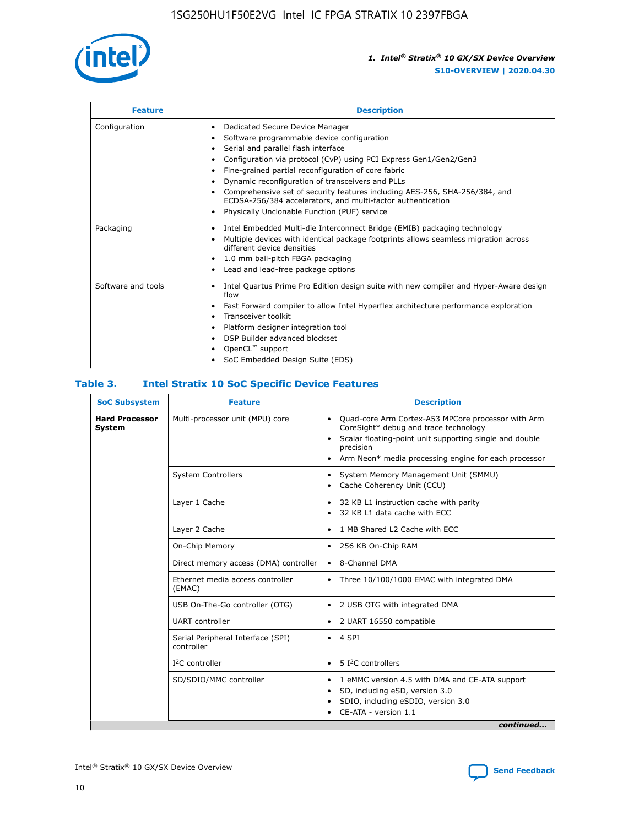

| <b>Feature</b>     | <b>Description</b>                                                                                                                                                                                                                                                                                                                                                                                                                                                                                                                                                   |
|--------------------|----------------------------------------------------------------------------------------------------------------------------------------------------------------------------------------------------------------------------------------------------------------------------------------------------------------------------------------------------------------------------------------------------------------------------------------------------------------------------------------------------------------------------------------------------------------------|
| Configuration      | Dedicated Secure Device Manager<br>$\bullet$<br>Software programmable device configuration<br>٠<br>Serial and parallel flash interface<br>٠<br>Configuration via protocol (CvP) using PCI Express Gen1/Gen2/Gen3<br>٠<br>Fine-grained partial reconfiguration of core fabric<br>$\bullet$<br>Dynamic reconfiguration of transceivers and PLLs<br>$\bullet$<br>Comprehensive set of security features including AES-256, SHA-256/384, and<br>ECDSA-256/384 accelerators, and multi-factor authentication<br>Physically Unclonable Function (PUF) service<br>$\bullet$ |
| Packaging          | Intel Embedded Multi-die Interconnect Bridge (EMIB) packaging technology<br>٠<br>Multiple devices with identical package footprints allows seamless migration across<br>$\bullet$<br>different device densities<br>1.0 mm ball-pitch FBGA packaging<br>$\bullet$<br>Lead and lead-free package options                                                                                                                                                                                                                                                               |
| Software and tools | Intel Quartus Prime Pro Edition design suite with new compiler and Hyper-Aware design<br>flow<br>Fast Forward compiler to allow Intel Hyperflex architecture performance exploration<br>$\bullet$<br>Transceiver toolkit<br>$\bullet$<br>Platform designer integration tool<br>DSP Builder advanced blockset<br>OpenCL <sup>™</sup> support<br>SoC Embedded Design Suite (EDS)                                                                                                                                                                                       |

## **Table 3. Intel Stratix 10 SoC Specific Device Features**

| <b>SoC Subsystem</b>                   | <b>Feature</b>                                  | <b>Description</b>                                                                                                                                                                                                                                         |  |
|----------------------------------------|-------------------------------------------------|------------------------------------------------------------------------------------------------------------------------------------------------------------------------------------------------------------------------------------------------------------|--|
| <b>Hard Processor</b><br><b>System</b> | Multi-processor unit (MPU) core                 | Quad-core Arm Cortex-A53 MPCore processor with Arm<br>$\bullet$<br>CoreSight* debug and trace technology<br>Scalar floating-point unit supporting single and double<br>٠<br>precision<br>Arm Neon* media processing engine for each processor<br>$\bullet$ |  |
|                                        | <b>System Controllers</b>                       | System Memory Management Unit (SMMU)<br>٠<br>Cache Coherency Unit (CCU)<br>٠                                                                                                                                                                               |  |
|                                        | Layer 1 Cache                                   | 32 KB L1 instruction cache with parity<br>$\bullet$<br>32 KB L1 data cache with ECC<br>$\bullet$                                                                                                                                                           |  |
|                                        | Layer 2 Cache                                   | 1 MB Shared L2 Cache with ECC<br>$\bullet$                                                                                                                                                                                                                 |  |
|                                        | On-Chip Memory                                  | 256 KB On-Chip RAM<br>$\bullet$                                                                                                                                                                                                                            |  |
|                                        | Direct memory access (DMA) controller           | • 8-Channel DMA                                                                                                                                                                                                                                            |  |
|                                        | Ethernet media access controller<br>(EMAC)      | Three 10/100/1000 EMAC with integrated DMA<br>$\bullet$                                                                                                                                                                                                    |  |
|                                        | USB On-The-Go controller (OTG)                  | 2 USB OTG with integrated DMA<br>$\bullet$                                                                                                                                                                                                                 |  |
|                                        | <b>UART</b> controller                          | 2 UART 16550 compatible<br>$\bullet$                                                                                                                                                                                                                       |  |
|                                        | Serial Peripheral Interface (SPI)<br>controller | $\bullet$ 4 SPI                                                                                                                                                                                                                                            |  |
|                                        | $I2C$ controller                                | 5 <sup>2</sup> C controllers                                                                                                                                                                                                                               |  |
|                                        | SD/SDIO/MMC controller                          | 1 eMMC version 4.5 with DMA and CE-ATA support<br>$\bullet$<br>SD, including eSD, version 3.0<br>٠<br>SDIO, including eSDIO, version 3.0<br>$\bullet$<br>CE-ATA - version 1.1<br>continued                                                                 |  |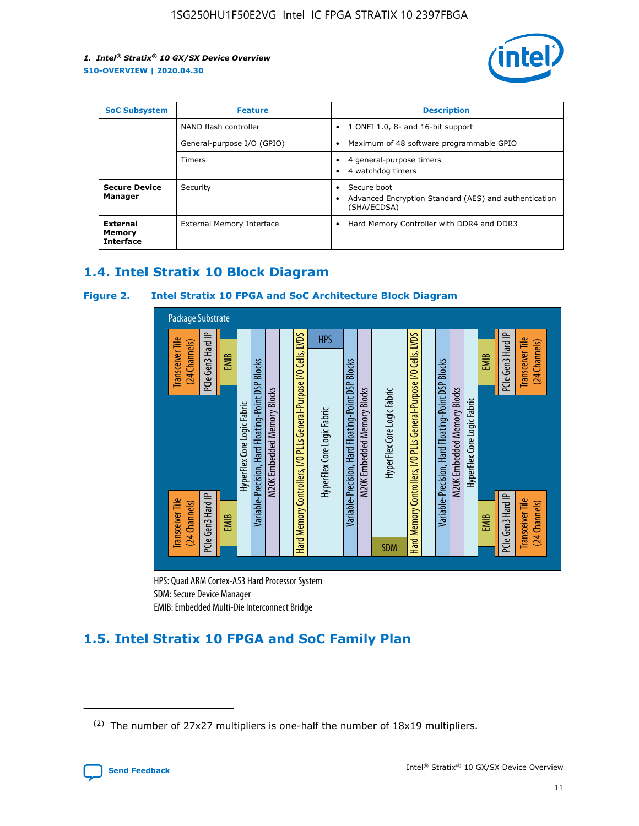

| <b>SoC Subsystem</b>                   | <b>Feature</b>             | <b>Description</b>                                                                                    |  |  |
|----------------------------------------|----------------------------|-------------------------------------------------------------------------------------------------------|--|--|
|                                        | NAND flash controller      | 1 ONFI 1.0, 8- and 16-bit support<br>$\bullet$                                                        |  |  |
|                                        | General-purpose I/O (GPIO) | Maximum of 48 software programmable GPIO<br>$\bullet$                                                 |  |  |
|                                        | Timers                     | 4 general-purpose timers<br>4 watchdog timers<br>٠                                                    |  |  |
| <b>Secure Device</b><br>Manager        | Security                   | Secure boot<br>$\bullet$<br>Advanced Encryption Standard (AES) and authentication<br>٠<br>(SHA/ECDSA) |  |  |
| External<br>Memory<br><b>Interface</b> | External Memory Interface  | Hard Memory Controller with DDR4 and DDR3<br>$\bullet$                                                |  |  |

## **1.4. Intel Stratix 10 Block Diagram**

## **Figure 2. Intel Stratix 10 FPGA and SoC Architecture Block Diagram**



HPS: Quad ARM Cortex-A53 Hard Processor System SDM: Secure Device Manager

# **1.5. Intel Stratix 10 FPGA and SoC Family Plan**

<sup>(2)</sup> The number of 27x27 multipliers is one-half the number of 18x19 multipliers.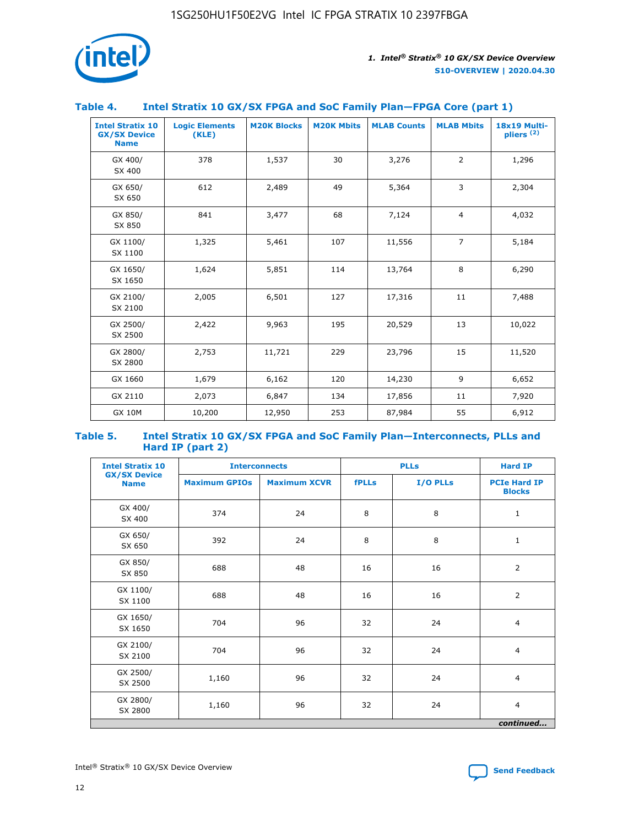

## **Table 4. Intel Stratix 10 GX/SX FPGA and SoC Family Plan—FPGA Core (part 1)**

| <b>Intel Stratix 10</b><br><b>GX/SX Device</b><br><b>Name</b> | <b>Logic Elements</b><br>(KLE) | <b>M20K Blocks</b> | <b>M20K Mbits</b> | <b>MLAB Counts</b> | <b>MLAB Mbits</b> | <b>18x19 Multi-</b><br>pliers <sup>(2)</sup> |
|---------------------------------------------------------------|--------------------------------|--------------------|-------------------|--------------------|-------------------|----------------------------------------------|
| GX 400/<br>SX 400                                             | 378                            | 1,537              | 30                | 3,276              | 2                 | 1,296                                        |
| GX 650/<br>SX 650                                             | 612                            | 2,489              | 49                | 5,364              | 3                 | 2,304                                        |
| GX 850/<br>SX 850                                             | 841                            | 3,477              | 68                | 7,124              | $\overline{4}$    | 4,032                                        |
| GX 1100/<br>SX 1100                                           | 1,325                          | 5,461              | 107               | 11,556             | $\overline{7}$    | 5,184                                        |
| GX 1650/<br>SX 1650                                           | 1,624                          | 5,851              | 114               | 13,764             | 8                 | 6,290                                        |
| GX 2100/<br>SX 2100                                           | 2,005                          | 6,501              | 127               | 17,316             | 11                | 7,488                                        |
| GX 2500/<br>SX 2500                                           | 2,422                          | 9,963              | 195               | 20,529             | 13                | 10,022                                       |
| GX 2800/<br>SX 2800                                           | 2,753                          | 11,721             | 229               | 23,796             | 15                | 11,520                                       |
| GX 1660                                                       | 1,679                          | 6,162              | 120               | 14,230             | 9                 | 6,652                                        |
| GX 2110                                                       | 2,073                          | 6,847              | 134               | 17,856             | 11                | 7,920                                        |
| <b>GX 10M</b>                                                 | 10,200                         | 12,950             | 253               | 87,984             | 55                | 6,912                                        |

#### **Table 5. Intel Stratix 10 GX/SX FPGA and SoC Family Plan—Interconnects, PLLs and Hard IP (part 2)**

| <b>Intel Stratix 10</b>            |                      | <b>Interconnects</b> |              | <b>PLLs</b> |                                      |  |
|------------------------------------|----------------------|----------------------|--------------|-------------|--------------------------------------|--|
| <b>GX/SX Device</b><br><b>Name</b> | <b>Maximum GPIOs</b> | <b>Maximum XCVR</b>  | <b>fPLLs</b> | I/O PLLs    | <b>PCIe Hard IP</b><br><b>Blocks</b> |  |
| GX 400/<br>SX 400                  | 374                  | 24                   | 8            | 8           | $\mathbf{1}$                         |  |
| GX 650/<br>SX 650                  | 392                  | 24                   | 8            | 8           | $\mathbf{1}$                         |  |
| GX 850/<br>SX 850                  | 688                  | 48                   | 16           | 16          | 2                                    |  |
| GX 1100/<br>SX 1100                | 688                  | 48                   | 16           | 16          | 2                                    |  |
| GX 1650/<br>SX 1650                | 704                  | 96                   | 32           | 24          | $\overline{4}$                       |  |
| GX 2100/<br>SX 2100                | 704                  | 96                   | 32           | 24          | 4                                    |  |
| GX 2500/<br>SX 2500                | 1,160                | 96                   | 32           | 24          | $\overline{4}$                       |  |
| GX 2800/<br>SX 2800                | 1,160                | 96                   | 32           | 24          | $\overline{4}$                       |  |
| continued                          |                      |                      |              |             |                                      |  |

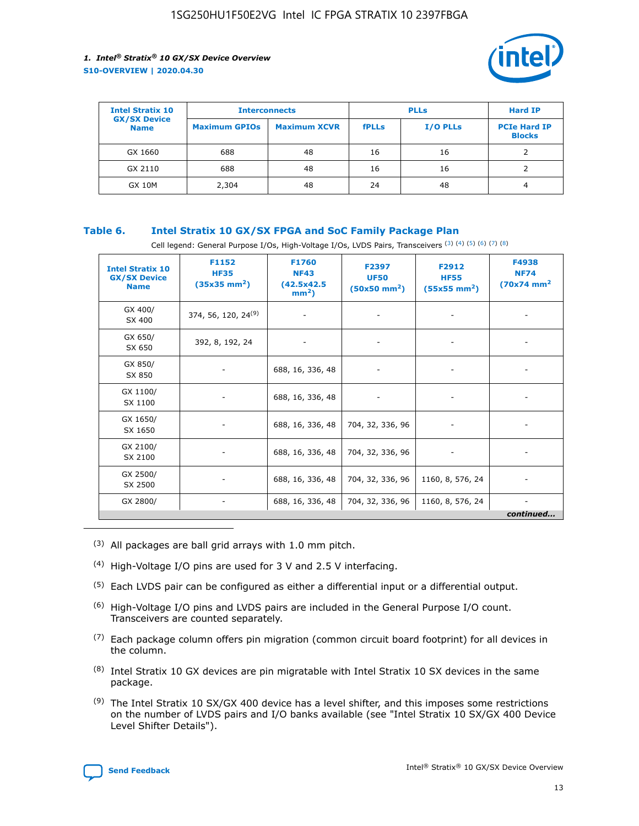

| <b>Intel Stratix 10</b>            | <b>Interconnects</b> |                     | <b>PLLs</b>  |                 | <b>Hard IP</b>                       |
|------------------------------------|----------------------|---------------------|--------------|-----------------|--------------------------------------|
| <b>GX/SX Device</b><br><b>Name</b> | <b>Maximum GPIOs</b> | <b>Maximum XCVR</b> | <b>fPLLs</b> | <b>I/O PLLs</b> | <b>PCIe Hard IP</b><br><b>Blocks</b> |
| GX 1660                            | 688                  | 48                  | 16           | 16              |                                      |
| GX 2110                            | 688                  | 48                  | 16           | 16              |                                      |
| <b>GX 10M</b>                      | 2,304                | 48                  | 24           | 48              | 4                                    |

## **Table 6. Intel Stratix 10 GX/SX FPGA and SoC Family Package Plan**

Cell legend: General Purpose I/Os, High-Voltage I/Os, LVDS Pairs, Transceivers (3) (4) (5) (6) (7) (8)

| <b>Intel Stratix 10</b><br><b>GX/SX Device</b><br><b>Name</b> | F1152<br><b>HF35</b><br>$(35x35 \text{ mm}^2)$ | <b>F1760</b><br><b>NF43</b><br>(42.5x42.5<br>$mm2$ ) | F2397<br><b>UF50</b><br>$(50x50$ mm <sup>2</sup> ) | F2912<br><b>HF55</b><br>$(55x55 \text{ mm}^2)$ | F4938<br><b>NF74</b><br>$(70x74)$ mm <sup>2</sup> |
|---------------------------------------------------------------|------------------------------------------------|------------------------------------------------------|----------------------------------------------------|------------------------------------------------|---------------------------------------------------|
| GX 400/<br>SX 400                                             | 374, 56, 120, 24 <sup>(9)</sup>                | $\overline{\phantom{a}}$                             | $\overline{\phantom{a}}$                           |                                                |                                                   |
| GX 650/<br>SX 650                                             | 392, 8, 192, 24                                | ٠                                                    | $\overline{\phantom{a}}$                           |                                                |                                                   |
| GX 850/<br>SX 850                                             |                                                | 688, 16, 336, 48                                     |                                                    |                                                |                                                   |
| GX 1100/<br>SX 1100                                           |                                                | 688, 16, 336, 48                                     |                                                    |                                                |                                                   |
| GX 1650/<br>SX 1650                                           |                                                | 688, 16, 336, 48                                     | 704, 32, 336, 96                                   |                                                |                                                   |
| GX 2100/<br>SX 2100                                           |                                                | 688, 16, 336, 48                                     | 704, 32, 336, 96                                   | -                                              | ۰                                                 |
| GX 2500/<br>SX 2500                                           |                                                | 688, 16, 336, 48                                     | 704, 32, 336, 96                                   | 1160, 8, 576, 24                               |                                                   |
| GX 2800/                                                      | $\overline{\phantom{a}}$                       | 688, 16, 336, 48                                     | 704, 32, 336, 96                                   | 1160, 8, 576, 24                               | ٠<br>continued                                    |

- (3) All packages are ball grid arrays with 1.0 mm pitch.
- (4) High-Voltage I/O pins are used for 3 V and 2.5 V interfacing.
- $(5)$  Each LVDS pair can be configured as either a differential input or a differential output.
- (6) High-Voltage I/O pins and LVDS pairs are included in the General Purpose I/O count. Transceivers are counted separately.
- $(7)$  Each package column offers pin migration (common circuit board footprint) for all devices in the column.
- $(8)$  Intel Stratix 10 GX devices are pin migratable with Intel Stratix 10 SX devices in the same package.
- $(9)$  The Intel Stratix 10 SX/GX 400 device has a level shifter, and this imposes some restrictions on the number of LVDS pairs and I/O banks available (see "Intel Stratix 10 SX/GX 400 Device Level Shifter Details").

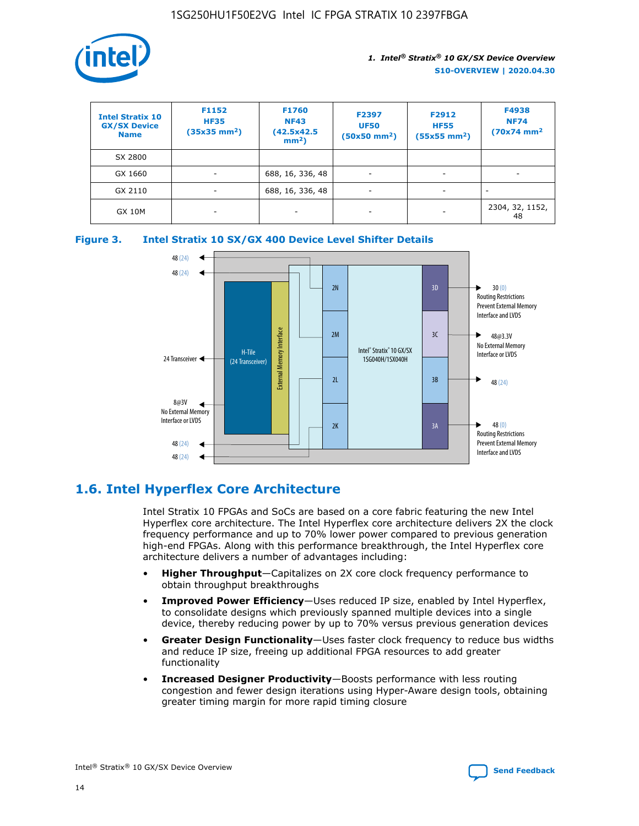

| <b>Intel Stratix 10</b><br><b>GX/SX Device</b><br><b>Name</b> | F1152<br><b>HF35</b><br>$(35x35)$ mm <sup>2</sup> ) | <b>F1760</b><br><b>NF43</b><br>(42.5x42.5<br>$mm2$ ) | F2397<br><b>UF50</b><br>$(50x50 \text{ mm}^2)$ | F2912<br><b>HF55</b><br>$(55x55$ mm <sup>2</sup> ) | F4938<br><b>NF74</b><br>$(70x74)$ mm <sup>2</sup> |
|---------------------------------------------------------------|-----------------------------------------------------|------------------------------------------------------|------------------------------------------------|----------------------------------------------------|---------------------------------------------------|
| SX 2800                                                       |                                                     |                                                      |                                                |                                                    |                                                   |
| GX 1660                                                       | -                                                   | 688, 16, 336, 48                                     | $\overline{\phantom{a}}$                       |                                                    |                                                   |
| GX 2110                                                       |                                                     | 688, 16, 336, 48                                     | $\overline{\phantom{a}}$                       |                                                    |                                                   |
| <b>GX 10M</b>                                                 | ۰                                                   |                                                      |                                                |                                                    | 2304, 32, 1152,<br>48                             |





## **1.6. Intel Hyperflex Core Architecture**

Intel Stratix 10 FPGAs and SoCs are based on a core fabric featuring the new Intel Hyperflex core architecture. The Intel Hyperflex core architecture delivers 2X the clock frequency performance and up to 70% lower power compared to previous generation high-end FPGAs. Along with this performance breakthrough, the Intel Hyperflex core architecture delivers a number of advantages including:

- **Higher Throughput**—Capitalizes on 2X core clock frequency performance to obtain throughput breakthroughs
- **Improved Power Efficiency**—Uses reduced IP size, enabled by Intel Hyperflex, to consolidate designs which previously spanned multiple devices into a single device, thereby reducing power by up to 70% versus previous generation devices
- **Greater Design Functionality**—Uses faster clock frequency to reduce bus widths and reduce IP size, freeing up additional FPGA resources to add greater functionality
- **Increased Designer Productivity**—Boosts performance with less routing congestion and fewer design iterations using Hyper-Aware design tools, obtaining greater timing margin for more rapid timing closure

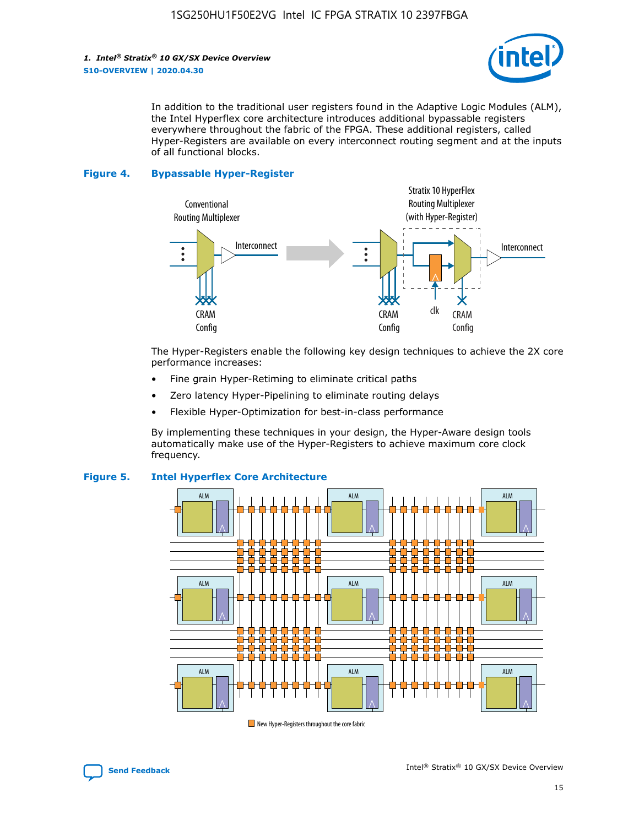

In addition to the traditional user registers found in the Adaptive Logic Modules (ALM), the Intel Hyperflex core architecture introduces additional bypassable registers everywhere throughout the fabric of the FPGA. These additional registers, called Hyper-Registers are available on every interconnect routing segment and at the inputs of all functional blocks.

#### **Figure 4. Bypassable Hyper-Register**



The Hyper-Registers enable the following key design techniques to achieve the 2X core performance increases:

- Fine grain Hyper-Retiming to eliminate critical paths
- Zero latency Hyper-Pipelining to eliminate routing delays
- Flexible Hyper-Optimization for best-in-class performance

By implementing these techniques in your design, the Hyper-Aware design tools automatically make use of the Hyper-Registers to achieve maximum core clock frequency.



## **Figure 5. Intel Hyperflex Core Architecture**

New Hyper-Registers throughout the core fabric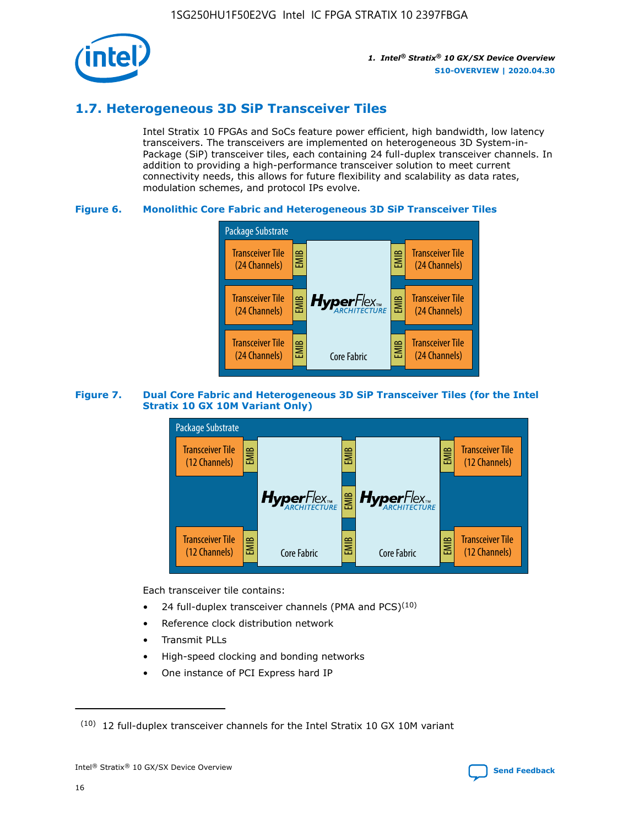

## **1.7. Heterogeneous 3D SiP Transceiver Tiles**

Intel Stratix 10 FPGAs and SoCs feature power efficient, high bandwidth, low latency transceivers. The transceivers are implemented on heterogeneous 3D System-in-Package (SiP) transceiver tiles, each containing 24 full-duplex transceiver channels. In addition to providing a high-performance transceiver solution to meet current connectivity needs, this allows for future flexibility and scalability as data rates, modulation schemes, and protocol IPs evolve.

## **Figure 6. Monolithic Core Fabric and Heterogeneous 3D SiP Transceiver Tiles**



## **Figure 7. Dual Core Fabric and Heterogeneous 3D SiP Transceiver Tiles (for the Intel Stratix 10 GX 10M Variant Only)**



Each transceiver tile contains:

- 24 full-duplex transceiver channels (PMA and PCS) $(10)$
- Reference clock distribution network
- Transmit PLLs
- High-speed clocking and bonding networks
- One instance of PCI Express hard IP

 $(10)$  12 full-duplex transceiver channels for the Intel Stratix 10 GX 10M variant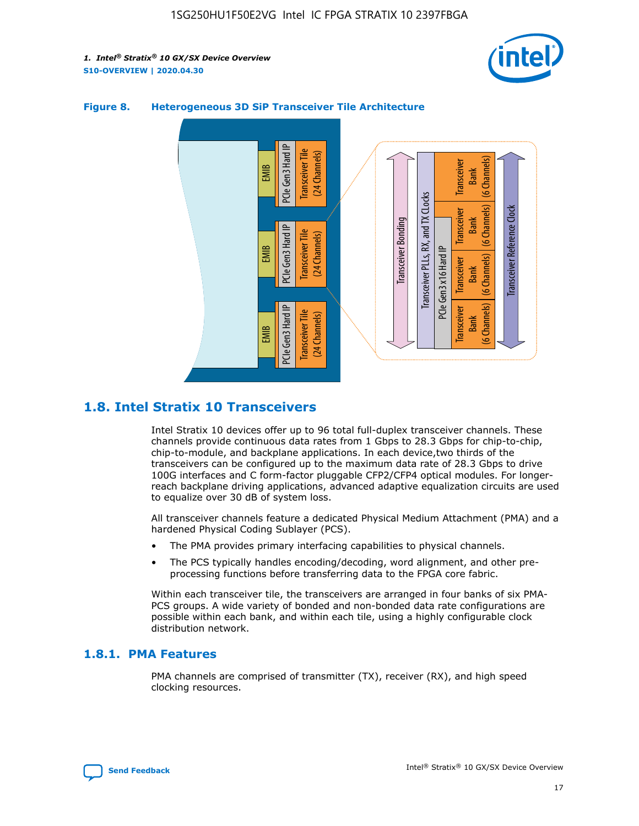



## **Figure 8. Heterogeneous 3D SiP Transceiver Tile Architecture**

## **1.8. Intel Stratix 10 Transceivers**

Intel Stratix 10 devices offer up to 96 total full-duplex transceiver channels. These channels provide continuous data rates from 1 Gbps to 28.3 Gbps for chip-to-chip, chip-to-module, and backplane applications. In each device,two thirds of the transceivers can be configured up to the maximum data rate of 28.3 Gbps to drive 100G interfaces and C form-factor pluggable CFP2/CFP4 optical modules. For longerreach backplane driving applications, advanced adaptive equalization circuits are used to equalize over 30 dB of system loss.

All transceiver channels feature a dedicated Physical Medium Attachment (PMA) and a hardened Physical Coding Sublayer (PCS).

- The PMA provides primary interfacing capabilities to physical channels.
- The PCS typically handles encoding/decoding, word alignment, and other preprocessing functions before transferring data to the FPGA core fabric.

Within each transceiver tile, the transceivers are arranged in four banks of six PMA-PCS groups. A wide variety of bonded and non-bonded data rate configurations are possible within each bank, and within each tile, using a highly configurable clock distribution network.

## **1.8.1. PMA Features**

PMA channels are comprised of transmitter (TX), receiver (RX), and high speed clocking resources.

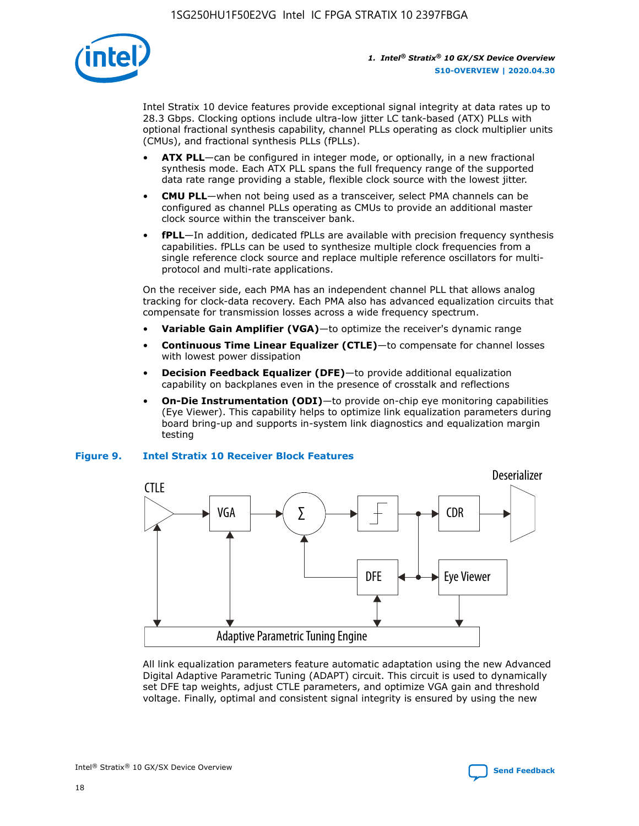

Intel Stratix 10 device features provide exceptional signal integrity at data rates up to 28.3 Gbps. Clocking options include ultra-low jitter LC tank-based (ATX) PLLs with optional fractional synthesis capability, channel PLLs operating as clock multiplier units (CMUs), and fractional synthesis PLLs (fPLLs).

- **ATX PLL**—can be configured in integer mode, or optionally, in a new fractional synthesis mode. Each ATX PLL spans the full frequency range of the supported data rate range providing a stable, flexible clock source with the lowest jitter.
- **CMU PLL**—when not being used as a transceiver, select PMA channels can be configured as channel PLLs operating as CMUs to provide an additional master clock source within the transceiver bank.
- **fPLL**—In addition, dedicated fPLLs are available with precision frequency synthesis capabilities. fPLLs can be used to synthesize multiple clock frequencies from a single reference clock source and replace multiple reference oscillators for multiprotocol and multi-rate applications.

On the receiver side, each PMA has an independent channel PLL that allows analog tracking for clock-data recovery. Each PMA also has advanced equalization circuits that compensate for transmission losses across a wide frequency spectrum.

- **Variable Gain Amplifier (VGA)**—to optimize the receiver's dynamic range
- **Continuous Time Linear Equalizer (CTLE)**—to compensate for channel losses with lowest power dissipation
- **Decision Feedback Equalizer (DFE)**—to provide additional equalization capability on backplanes even in the presence of crosstalk and reflections
- **On-Die Instrumentation (ODI)**—to provide on-chip eye monitoring capabilities (Eye Viewer). This capability helps to optimize link equalization parameters during board bring-up and supports in-system link diagnostics and equalization margin testing

## **Figure 9. Intel Stratix 10 Receiver Block Features**



All link equalization parameters feature automatic adaptation using the new Advanced Digital Adaptive Parametric Tuning (ADAPT) circuit. This circuit is used to dynamically set DFE tap weights, adjust CTLE parameters, and optimize VGA gain and threshold voltage. Finally, optimal and consistent signal integrity is ensured by using the new

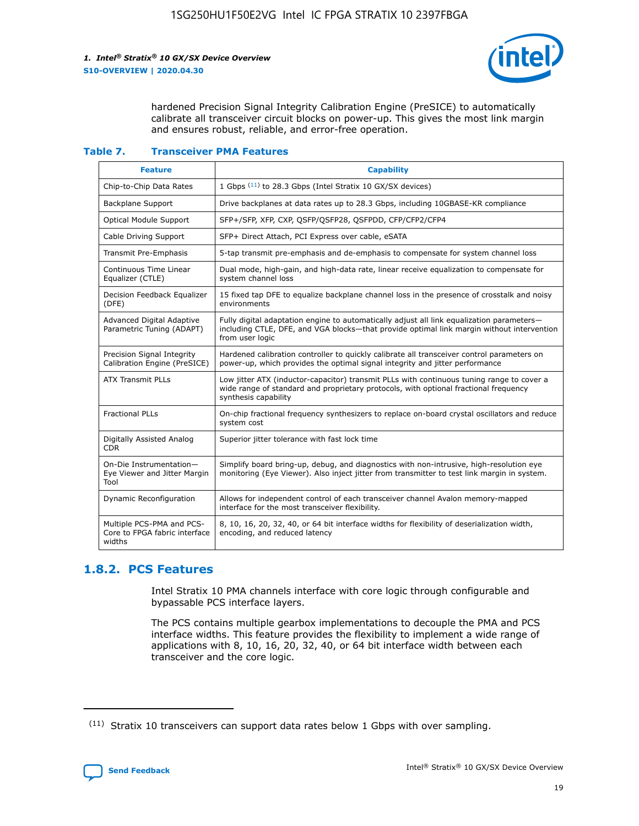

hardened Precision Signal Integrity Calibration Engine (PreSICE) to automatically calibrate all transceiver circuit blocks on power-up. This gives the most link margin and ensures robust, reliable, and error-free operation.

#### **Table 7. Transceiver PMA Features**

| <b>Feature</b>                                                       | <b>Capability</b>                                                                                                                                                                                         |
|----------------------------------------------------------------------|-----------------------------------------------------------------------------------------------------------------------------------------------------------------------------------------------------------|
| Chip-to-Chip Data Rates                                              | 1 Gbps (11) to 28.3 Gbps (Intel Stratix 10 GX/SX devices)                                                                                                                                                 |
| <b>Backplane Support</b>                                             | Drive backplanes at data rates up to 28.3 Gbps, including 10GBASE-KR compliance                                                                                                                           |
| Optical Module Support                                               | SFP+/SFP, XFP, CXP, QSFP/QSFP28, QSFPDD, CFP/CFP2/CFP4                                                                                                                                                    |
| Cable Driving Support                                                | SFP+ Direct Attach, PCI Express over cable, eSATA                                                                                                                                                         |
| <b>Transmit Pre-Emphasis</b>                                         | 5-tap transmit pre-emphasis and de-emphasis to compensate for system channel loss                                                                                                                         |
| Continuous Time Linear<br>Equalizer (CTLE)                           | Dual mode, high-gain, and high-data rate, linear receive equalization to compensate for<br>system channel loss                                                                                            |
| Decision Feedback Equalizer<br>(DFE)                                 | 15 fixed tap DFE to equalize backplane channel loss in the presence of crosstalk and noisy<br>environments                                                                                                |
| Advanced Digital Adaptive<br>Parametric Tuning (ADAPT)               | Fully digital adaptation engine to automatically adjust all link equalization parameters-<br>including CTLE, DFE, and VGA blocks—that provide optimal link margin without intervention<br>from user logic |
| Precision Signal Integrity<br>Calibration Engine (PreSICE)           | Hardened calibration controller to quickly calibrate all transceiver control parameters on<br>power-up, which provides the optimal signal integrity and jitter performance                                |
| <b>ATX Transmit PLLs</b>                                             | Low jitter ATX (inductor-capacitor) transmit PLLs with continuous tuning range to cover a<br>wide range of standard and proprietary protocols, with optional fractional frequency<br>synthesis capability |
| <b>Fractional PLLs</b>                                               | On-chip fractional frequency synthesizers to replace on-board crystal oscillators and reduce<br>system cost                                                                                               |
| Digitally Assisted Analog<br>CDR.                                    | Superior jitter tolerance with fast lock time                                                                                                                                                             |
| On-Die Instrumentation-<br>Eye Viewer and Jitter Margin<br>Tool      | Simplify board bring-up, debug, and diagnostics with non-intrusive, high-resolution eye<br>monitoring (Eye Viewer). Also inject jitter from transmitter to test link margin in system.                    |
| Dynamic Reconfiguration                                              | Allows for independent control of each transceiver channel Avalon memory-mapped<br>interface for the most transceiver flexibility.                                                                        |
| Multiple PCS-PMA and PCS-<br>Core to FPGA fabric interface<br>widths | 8, 10, 16, 20, 32, 40, or 64 bit interface widths for flexibility of deserialization width,<br>encoding, and reduced latency                                                                              |

## **1.8.2. PCS Features**

Intel Stratix 10 PMA channels interface with core logic through configurable and bypassable PCS interface layers.

The PCS contains multiple gearbox implementations to decouple the PMA and PCS interface widths. This feature provides the flexibility to implement a wide range of applications with 8, 10, 16, 20, 32, 40, or 64 bit interface width between each transceiver and the core logic.

 $(11)$  Stratix 10 transceivers can support data rates below 1 Gbps with over sampling.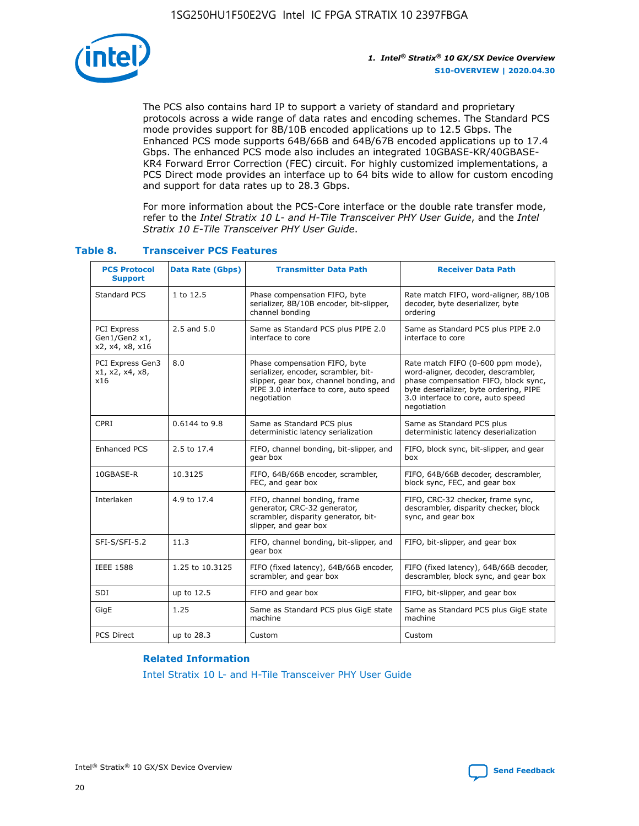

The PCS also contains hard IP to support a variety of standard and proprietary protocols across a wide range of data rates and encoding schemes. The Standard PCS mode provides support for 8B/10B encoded applications up to 12.5 Gbps. The Enhanced PCS mode supports 64B/66B and 64B/67B encoded applications up to 17.4 Gbps. The enhanced PCS mode also includes an integrated 10GBASE-KR/40GBASE-KR4 Forward Error Correction (FEC) circuit. For highly customized implementations, a PCS Direct mode provides an interface up to 64 bits wide to allow for custom encoding and support for data rates up to 28.3 Gbps.

For more information about the PCS-Core interface or the double rate transfer mode, refer to the *Intel Stratix 10 L- and H-Tile Transceiver PHY User Guide*, and the *Intel Stratix 10 E-Tile Transceiver PHY User Guide*.

| <b>PCS Protocol</b><br><b>Support</b>           | <b>Data Rate (Gbps)</b> | <b>Transmitter Data Path</b>                                                                                                                                              | <b>Receiver Data Path</b>                                                                                                                                                                                      |
|-------------------------------------------------|-------------------------|---------------------------------------------------------------------------------------------------------------------------------------------------------------------------|----------------------------------------------------------------------------------------------------------------------------------------------------------------------------------------------------------------|
| Standard PCS                                    | 1 to 12.5               | Phase compensation FIFO, byte<br>serializer, 8B/10B encoder, bit-slipper,<br>channel bonding                                                                              | Rate match FIFO, word-aligner, 8B/10B<br>decoder, byte deserializer, byte<br>ordering                                                                                                                          |
| PCI Express<br>Gen1/Gen2 x1,<br>x2, x4, x8, x16 | $2.5$ and $5.0$         | Same as Standard PCS plus PIPE 2.0<br>interface to core                                                                                                                   | Same as Standard PCS plus PIPE 2.0<br>interface to core                                                                                                                                                        |
| PCI Express Gen3<br>x1, x2, x4, x8,<br>x16      | 8.0                     | Phase compensation FIFO, byte<br>serializer, encoder, scrambler, bit-<br>slipper, gear box, channel bonding, and<br>PIPE 3.0 interface to core, auto speed<br>negotiation | Rate match FIFO (0-600 ppm mode),<br>word-aligner, decoder, descrambler,<br>phase compensation FIFO, block sync,<br>byte deserializer, byte ordering, PIPE<br>3.0 interface to core, auto speed<br>negotiation |
| CPRI                                            | 0.6144 to 9.8           | Same as Standard PCS plus<br>deterministic latency serialization                                                                                                          | Same as Standard PCS plus<br>deterministic latency deserialization                                                                                                                                             |
| <b>Enhanced PCS</b>                             | 2.5 to 17.4             | FIFO, channel bonding, bit-slipper, and<br>gear box                                                                                                                       | FIFO, block sync, bit-slipper, and gear<br>box                                                                                                                                                                 |
| 10GBASE-R                                       | 10.3125                 | FIFO, 64B/66B encoder, scrambler,<br>FEC, and gear box                                                                                                                    | FIFO, 64B/66B decoder, descrambler,<br>block sync, FEC, and gear box                                                                                                                                           |
| Interlaken                                      | 4.9 to 17.4             | FIFO, channel bonding, frame<br>generator, CRC-32 generator,<br>scrambler, disparity generator, bit-<br>slipper, and gear box                                             | FIFO, CRC-32 checker, frame sync,<br>descrambler, disparity checker, block<br>sync, and gear box                                                                                                               |
| SFI-S/SFI-5.2                                   | 11.3                    | FIFO, channel bonding, bit-slipper, and<br>gear box                                                                                                                       | FIFO, bit-slipper, and gear box                                                                                                                                                                                |
| <b>IEEE 1588</b>                                | 1.25 to 10.3125         | FIFO (fixed latency), 64B/66B encoder,<br>scrambler, and gear box                                                                                                         | FIFO (fixed latency), 64B/66B decoder,<br>descrambler, block sync, and gear box                                                                                                                                |
| SDI                                             | up to 12.5              | FIFO and gear box                                                                                                                                                         | FIFO, bit-slipper, and gear box                                                                                                                                                                                |
| GigE                                            | 1.25                    | Same as Standard PCS plus GigE state<br>machine                                                                                                                           | Same as Standard PCS plus GigE state<br>machine                                                                                                                                                                |
| <b>PCS Direct</b>                               | up to 28.3              | Custom                                                                                                                                                                    | Custom                                                                                                                                                                                                         |

## **Table 8. Transceiver PCS Features**

## **Related Information**

[Intel Stratix 10 L- and H-Tile Transceiver PHY User Guide](https://www.altera.com/documentation/wry1479165198810.html)

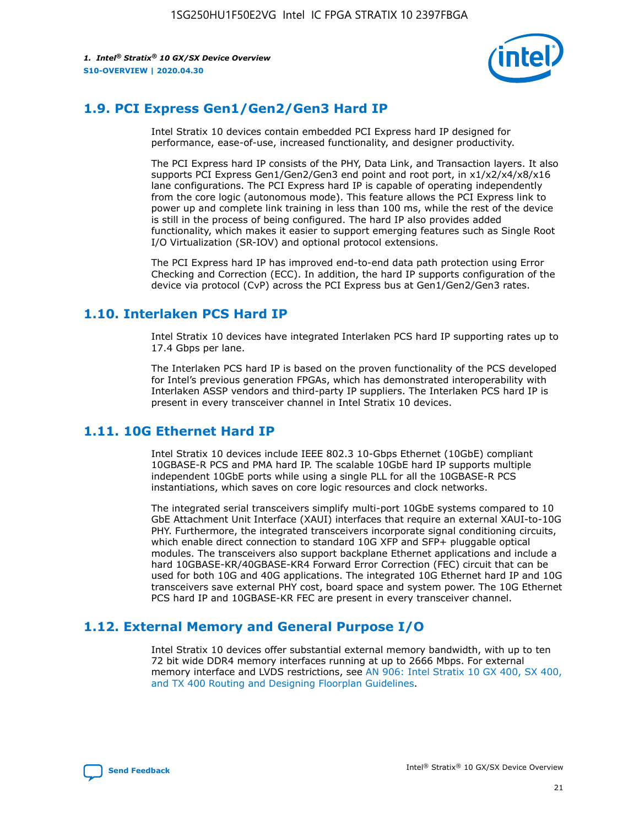

## **1.9. PCI Express Gen1/Gen2/Gen3 Hard IP**

Intel Stratix 10 devices contain embedded PCI Express hard IP designed for performance, ease-of-use, increased functionality, and designer productivity.

The PCI Express hard IP consists of the PHY, Data Link, and Transaction layers. It also supports PCI Express Gen1/Gen2/Gen3 end point and root port, in x1/x2/x4/x8/x16 lane configurations. The PCI Express hard IP is capable of operating independently from the core logic (autonomous mode). This feature allows the PCI Express link to power up and complete link training in less than 100 ms, while the rest of the device is still in the process of being configured. The hard IP also provides added functionality, which makes it easier to support emerging features such as Single Root I/O Virtualization (SR-IOV) and optional protocol extensions.

The PCI Express hard IP has improved end-to-end data path protection using Error Checking and Correction (ECC). In addition, the hard IP supports configuration of the device via protocol (CvP) across the PCI Express bus at Gen1/Gen2/Gen3 rates.

## **1.10. Interlaken PCS Hard IP**

Intel Stratix 10 devices have integrated Interlaken PCS hard IP supporting rates up to 17.4 Gbps per lane.

The Interlaken PCS hard IP is based on the proven functionality of the PCS developed for Intel's previous generation FPGAs, which has demonstrated interoperability with Interlaken ASSP vendors and third-party IP suppliers. The Interlaken PCS hard IP is present in every transceiver channel in Intel Stratix 10 devices.

## **1.11. 10G Ethernet Hard IP**

Intel Stratix 10 devices include IEEE 802.3 10-Gbps Ethernet (10GbE) compliant 10GBASE-R PCS and PMA hard IP. The scalable 10GbE hard IP supports multiple independent 10GbE ports while using a single PLL for all the 10GBASE-R PCS instantiations, which saves on core logic resources and clock networks.

The integrated serial transceivers simplify multi-port 10GbE systems compared to 10 GbE Attachment Unit Interface (XAUI) interfaces that require an external XAUI-to-10G PHY. Furthermore, the integrated transceivers incorporate signal conditioning circuits, which enable direct connection to standard 10G XFP and SFP+ pluggable optical modules. The transceivers also support backplane Ethernet applications and include a hard 10GBASE-KR/40GBASE-KR4 Forward Error Correction (FEC) circuit that can be used for both 10G and 40G applications. The integrated 10G Ethernet hard IP and 10G transceivers save external PHY cost, board space and system power. The 10G Ethernet PCS hard IP and 10GBASE-KR FEC are present in every transceiver channel.

## **1.12. External Memory and General Purpose I/O**

Intel Stratix 10 devices offer substantial external memory bandwidth, with up to ten 72 bit wide DDR4 memory interfaces running at up to 2666 Mbps. For external memory interface and LVDS restrictions, see [AN 906: Intel Stratix 10 GX 400, SX 400,](https://www.intel.com/content/www/us/en/programmable/documentation/sjf1574667190623.html#bft1574667627484) [and TX 400 Routing and Designing Floorplan Guidelines.](https://www.intel.com/content/www/us/en/programmable/documentation/sjf1574667190623.html#bft1574667627484)

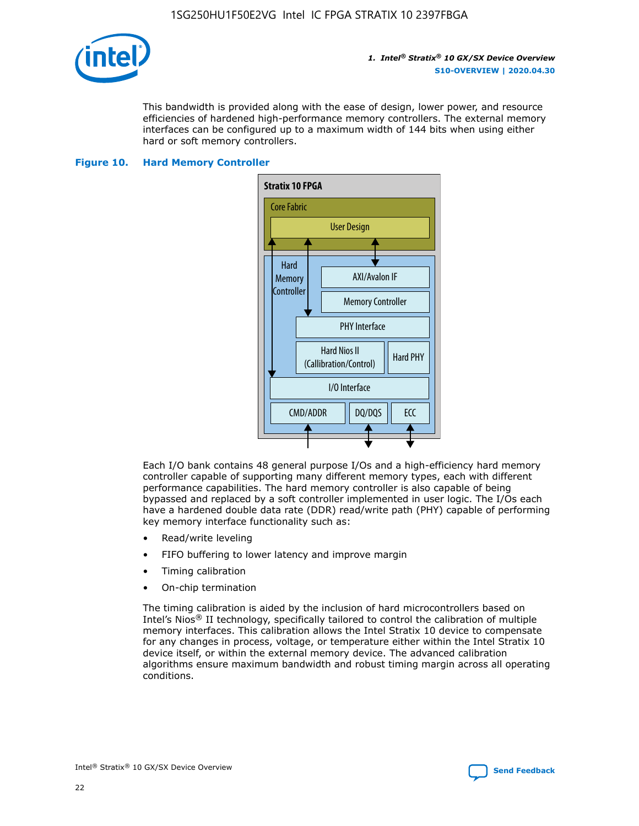

This bandwidth is provided along with the ease of design, lower power, and resource efficiencies of hardened high-performance memory controllers. The external memory interfaces can be configured up to a maximum width of 144 bits when using either hard or soft memory controllers.

## **Figure 10. Hard Memory Controller**



Each I/O bank contains 48 general purpose I/Os and a high-efficiency hard memory controller capable of supporting many different memory types, each with different performance capabilities. The hard memory controller is also capable of being bypassed and replaced by a soft controller implemented in user logic. The I/Os each have a hardened double data rate (DDR) read/write path (PHY) capable of performing key memory interface functionality such as:

- Read/write leveling
- FIFO buffering to lower latency and improve margin
- Timing calibration
- On-chip termination

The timing calibration is aided by the inclusion of hard microcontrollers based on Intel's Nios® II technology, specifically tailored to control the calibration of multiple memory interfaces. This calibration allows the Intel Stratix 10 device to compensate for any changes in process, voltage, or temperature either within the Intel Stratix 10 device itself, or within the external memory device. The advanced calibration algorithms ensure maximum bandwidth and robust timing margin across all operating conditions.

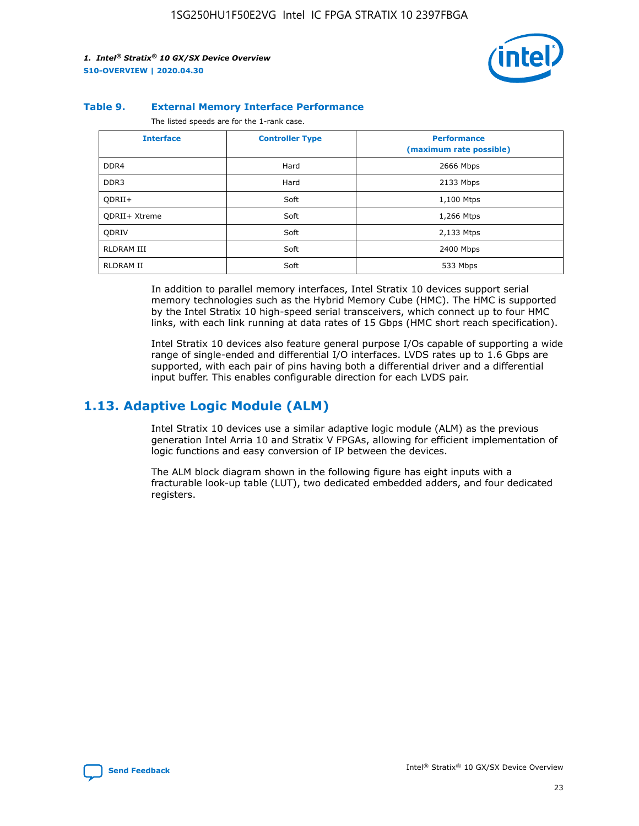

### **Table 9. External Memory Interface Performance**

The listed speeds are for the 1-rank case.

| <b>Interface</b>     | <b>Controller Type</b> | <b>Performance</b><br>(maximum rate possible) |
|----------------------|------------------------|-----------------------------------------------|
| DDR4                 | Hard                   | 2666 Mbps                                     |
| DDR <sub>3</sub>     | Hard                   | 2133 Mbps                                     |
| QDRII+               | Soft                   | 1,100 Mtps                                    |
| <b>ODRII+ Xtreme</b> | Soft                   | 1,266 Mtps                                    |
| <b>ODRIV</b>         | Soft                   | 2,133 Mtps                                    |
| RLDRAM III           | Soft                   | 2400 Mbps                                     |
| <b>RLDRAM II</b>     | Soft                   | 533 Mbps                                      |

In addition to parallel memory interfaces, Intel Stratix 10 devices support serial memory technologies such as the Hybrid Memory Cube (HMC). The HMC is supported by the Intel Stratix 10 high-speed serial transceivers, which connect up to four HMC links, with each link running at data rates of 15 Gbps (HMC short reach specification).

Intel Stratix 10 devices also feature general purpose I/Os capable of supporting a wide range of single-ended and differential I/O interfaces. LVDS rates up to 1.6 Gbps are supported, with each pair of pins having both a differential driver and a differential input buffer. This enables configurable direction for each LVDS pair.

## **1.13. Adaptive Logic Module (ALM)**

Intel Stratix 10 devices use a similar adaptive logic module (ALM) as the previous generation Intel Arria 10 and Stratix V FPGAs, allowing for efficient implementation of logic functions and easy conversion of IP between the devices.

The ALM block diagram shown in the following figure has eight inputs with a fracturable look-up table (LUT), two dedicated embedded adders, and four dedicated registers.

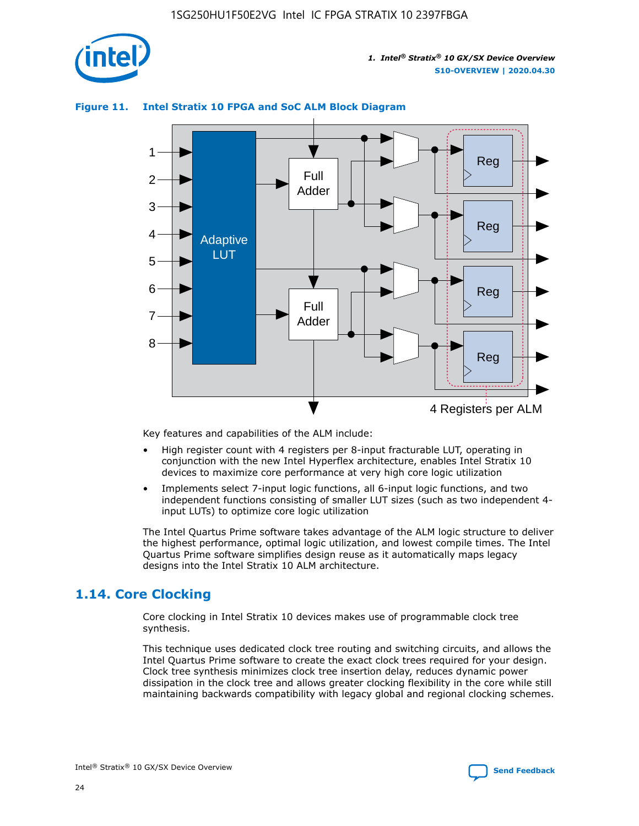

## **Figure 11. Intel Stratix 10 FPGA and SoC ALM Block Diagram**



Key features and capabilities of the ALM include:

- High register count with 4 registers per 8-input fracturable LUT, operating in conjunction with the new Intel Hyperflex architecture, enables Intel Stratix 10 devices to maximize core performance at very high core logic utilization
- Implements select 7-input logic functions, all 6-input logic functions, and two independent functions consisting of smaller LUT sizes (such as two independent 4 input LUTs) to optimize core logic utilization

The Intel Quartus Prime software takes advantage of the ALM logic structure to deliver the highest performance, optimal logic utilization, and lowest compile times. The Intel Quartus Prime software simplifies design reuse as it automatically maps legacy designs into the Intel Stratix 10 ALM architecture.

## **1.14. Core Clocking**

Core clocking in Intel Stratix 10 devices makes use of programmable clock tree synthesis.

This technique uses dedicated clock tree routing and switching circuits, and allows the Intel Quartus Prime software to create the exact clock trees required for your design. Clock tree synthesis minimizes clock tree insertion delay, reduces dynamic power dissipation in the clock tree and allows greater clocking flexibility in the core while still maintaining backwards compatibility with legacy global and regional clocking schemes.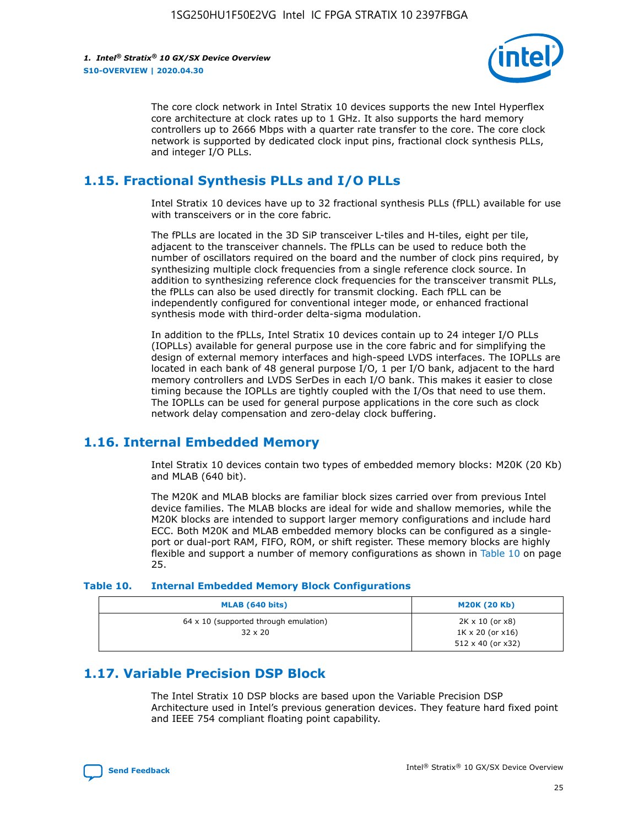

The core clock network in Intel Stratix 10 devices supports the new Intel Hyperflex core architecture at clock rates up to 1 GHz. It also supports the hard memory controllers up to 2666 Mbps with a quarter rate transfer to the core. The core clock network is supported by dedicated clock input pins, fractional clock synthesis PLLs, and integer I/O PLLs.

## **1.15. Fractional Synthesis PLLs and I/O PLLs**

Intel Stratix 10 devices have up to 32 fractional synthesis PLLs (fPLL) available for use with transceivers or in the core fabric.

The fPLLs are located in the 3D SiP transceiver L-tiles and H-tiles, eight per tile, adjacent to the transceiver channels. The fPLLs can be used to reduce both the number of oscillators required on the board and the number of clock pins required, by synthesizing multiple clock frequencies from a single reference clock source. In addition to synthesizing reference clock frequencies for the transceiver transmit PLLs, the fPLLs can also be used directly for transmit clocking. Each fPLL can be independently configured for conventional integer mode, or enhanced fractional synthesis mode with third-order delta-sigma modulation.

In addition to the fPLLs, Intel Stratix 10 devices contain up to 24 integer I/O PLLs (IOPLLs) available for general purpose use in the core fabric and for simplifying the design of external memory interfaces and high-speed LVDS interfaces. The IOPLLs are located in each bank of 48 general purpose I/O, 1 per I/O bank, adjacent to the hard memory controllers and LVDS SerDes in each I/O bank. This makes it easier to close timing because the IOPLLs are tightly coupled with the I/Os that need to use them. The IOPLLs can be used for general purpose applications in the core such as clock network delay compensation and zero-delay clock buffering.

## **1.16. Internal Embedded Memory**

Intel Stratix 10 devices contain two types of embedded memory blocks: M20K (20 Kb) and MLAB (640 bit).

The M20K and MLAB blocks are familiar block sizes carried over from previous Intel device families. The MLAB blocks are ideal for wide and shallow memories, while the M20K blocks are intended to support larger memory configurations and include hard ECC. Both M20K and MLAB embedded memory blocks can be configured as a singleport or dual-port RAM, FIFO, ROM, or shift register. These memory blocks are highly flexible and support a number of memory configurations as shown in Table 10 on page 25.

## **Table 10. Internal Embedded Memory Block Configurations**

| MLAB (640 bits)                                                | <b>M20K (20 Kb)</b>                                                                    |
|----------------------------------------------------------------|----------------------------------------------------------------------------------------|
| $64 \times 10$ (supported through emulation)<br>$32 \times 20$ | $2K \times 10$ (or $x8$ )<br>$1K \times 20$ (or $x16$ )<br>$512 \times 40$ (or $x32$ ) |

## **1.17. Variable Precision DSP Block**

The Intel Stratix 10 DSP blocks are based upon the Variable Precision DSP Architecture used in Intel's previous generation devices. They feature hard fixed point and IEEE 754 compliant floating point capability.

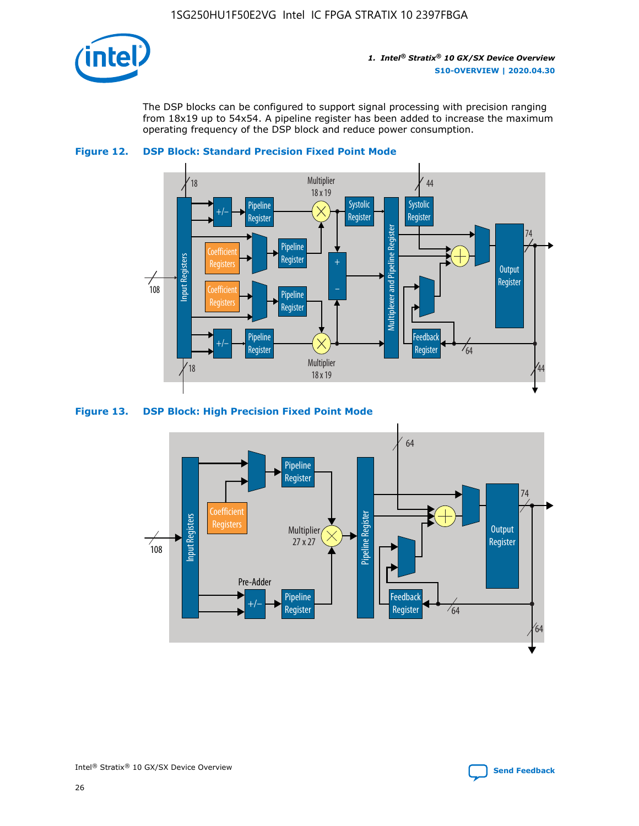

The DSP blocks can be configured to support signal processing with precision ranging from 18x19 up to 54x54. A pipeline register has been added to increase the maximum operating frequency of the DSP block and reduce power consumption.





#### **Figure 13. DSP Block: High Precision Fixed Point Mode**

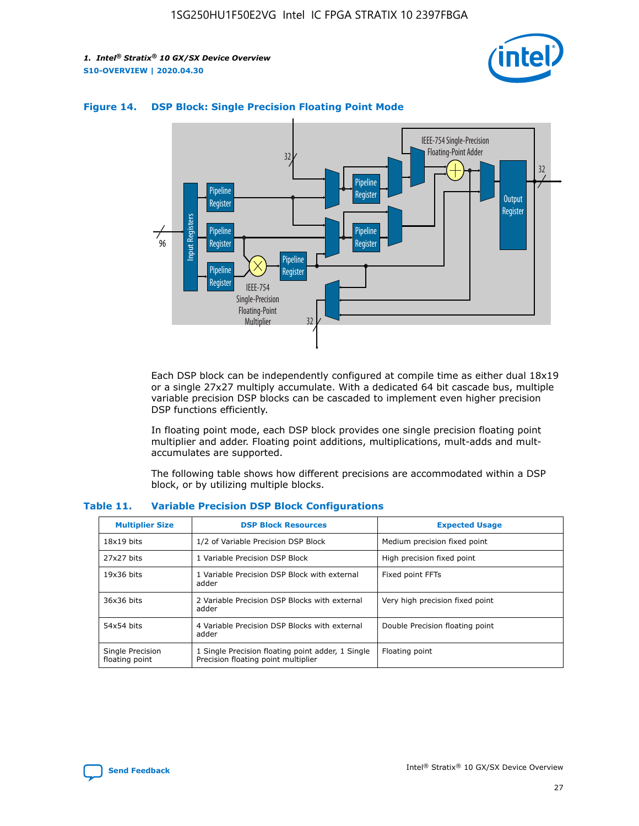



## **Figure 14. DSP Block: Single Precision Floating Point Mode**

Each DSP block can be independently configured at compile time as either dual 18x19 or a single 27x27 multiply accumulate. With a dedicated 64 bit cascade bus, multiple variable precision DSP blocks can be cascaded to implement even higher precision DSP functions efficiently.

In floating point mode, each DSP block provides one single precision floating point multiplier and adder. Floating point additions, multiplications, mult-adds and multaccumulates are supported.

The following table shows how different precisions are accommodated within a DSP block, or by utilizing multiple blocks.

| <b>Multiplier Size</b>             | <b>DSP Block Resources</b>                                                               | <b>Expected Usage</b>           |
|------------------------------------|------------------------------------------------------------------------------------------|---------------------------------|
| $18x19$ bits                       | 1/2 of Variable Precision DSP Block                                                      | Medium precision fixed point    |
| 27x27 bits                         | 1 Variable Precision DSP Block                                                           | High precision fixed point      |
| $19x36$ bits                       | 1 Variable Precision DSP Block with external<br>adder                                    | Fixed point FFTs                |
| 36x36 bits                         | 2 Variable Precision DSP Blocks with external<br>adder                                   | Very high precision fixed point |
| 54x54 bits                         | 4 Variable Precision DSP Blocks with external<br>adder                                   | Double Precision floating point |
| Single Precision<br>floating point | 1 Single Precision floating point adder, 1 Single<br>Precision floating point multiplier | Floating point                  |

#### **Table 11. Variable Precision DSP Block Configurations**

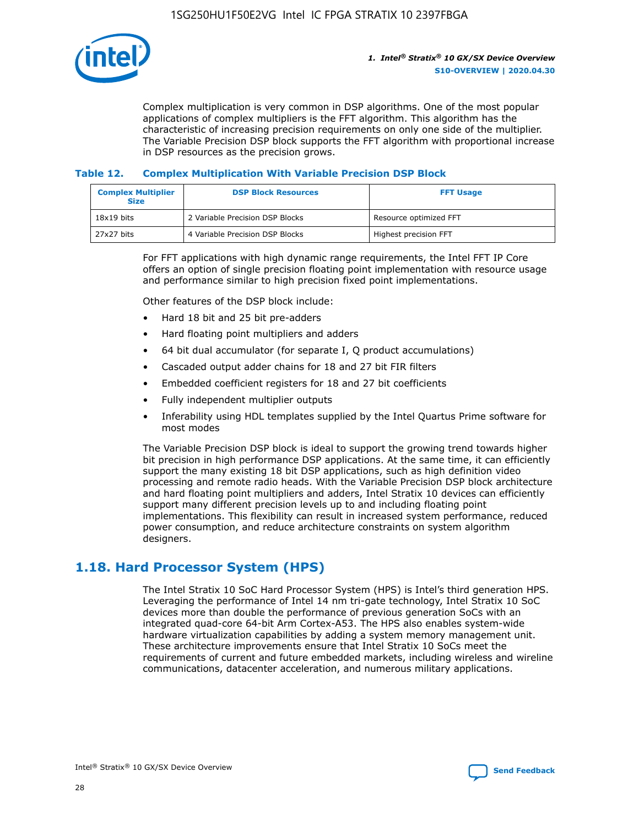

Complex multiplication is very common in DSP algorithms. One of the most popular applications of complex multipliers is the FFT algorithm. This algorithm has the characteristic of increasing precision requirements on only one side of the multiplier. The Variable Precision DSP block supports the FFT algorithm with proportional increase in DSP resources as the precision grows.

## **Table 12. Complex Multiplication With Variable Precision DSP Block**

| <b>Complex Multiplier</b><br><b>Size</b> | <b>DSP Block Resources</b>      | <b>FFT Usage</b>       |
|------------------------------------------|---------------------------------|------------------------|
| $18x19$ bits                             | 2 Variable Precision DSP Blocks | Resource optimized FFT |
| $27x27$ bits                             | 4 Variable Precision DSP Blocks | Highest precision FFT  |

For FFT applications with high dynamic range requirements, the Intel FFT IP Core offers an option of single precision floating point implementation with resource usage and performance similar to high precision fixed point implementations.

Other features of the DSP block include:

- Hard 18 bit and 25 bit pre-adders
- Hard floating point multipliers and adders
- 64 bit dual accumulator (for separate I, Q product accumulations)
- Cascaded output adder chains for 18 and 27 bit FIR filters
- Embedded coefficient registers for 18 and 27 bit coefficients
- Fully independent multiplier outputs
- Inferability using HDL templates supplied by the Intel Quartus Prime software for most modes

The Variable Precision DSP block is ideal to support the growing trend towards higher bit precision in high performance DSP applications. At the same time, it can efficiently support the many existing 18 bit DSP applications, such as high definition video processing and remote radio heads. With the Variable Precision DSP block architecture and hard floating point multipliers and adders, Intel Stratix 10 devices can efficiently support many different precision levels up to and including floating point implementations. This flexibility can result in increased system performance, reduced power consumption, and reduce architecture constraints on system algorithm designers.

## **1.18. Hard Processor System (HPS)**

The Intel Stratix 10 SoC Hard Processor System (HPS) is Intel's third generation HPS. Leveraging the performance of Intel 14 nm tri-gate technology, Intel Stratix 10 SoC devices more than double the performance of previous generation SoCs with an integrated quad-core 64-bit Arm Cortex-A53. The HPS also enables system-wide hardware virtualization capabilities by adding a system memory management unit. These architecture improvements ensure that Intel Stratix 10 SoCs meet the requirements of current and future embedded markets, including wireless and wireline communications, datacenter acceleration, and numerous military applications.

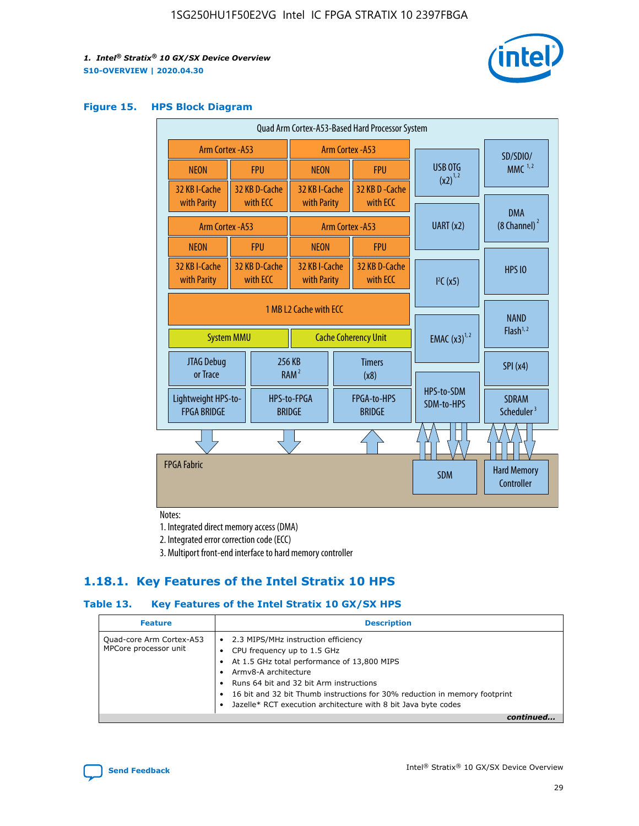

## **Figure 15. HPS Block Diagram**

| Quad Arm Cortex-A53-Based Hard Processor System |                  |                                                       |                              |                          |                                     |                          |                                        |
|-------------------------------------------------|------------------|-------------------------------------------------------|------------------------------|--------------------------|-------------------------------------|--------------------------|----------------------------------------|
| <b>Arm Cortex - A53</b>                         | Arm Cortex - A53 |                                                       |                              |                          |                                     | SD/SDIO/                 |                                        |
| <b>NEON</b>                                     |                  | <b>FPU</b>                                            | <b>NEON</b>                  |                          | <b>FPU</b>                          | USB OTG                  | MMC $1,2$                              |
| 32 KB I-Cache<br>with Parity                    |                  | 32 KB D-Cache<br>with ECC                             | 32 KB I-Cache<br>with Parity |                          | 32 KB D - Cache<br>with ECC         | $(x2)^{1,2}$             |                                        |
| Arm Cortex - A53                                |                  |                                                       |                              |                          | Arm Cortex - A53                    | UART (x2)                | <b>DMA</b><br>$(8 \text{ Channel})^2$  |
| <b>NEON</b>                                     |                  | <b>FPU</b>                                            | <b>NEON</b>                  |                          | <b>FPU</b>                          |                          |                                        |
| 32 KB I-Cache<br>with Parity                    |                  | 32 KB D-Cache<br>with ECC                             | 32 KB I-Cache<br>with Parity |                          | 32 KB D-Cache<br>with ECC           | I <sup>2</sup> C(x5)     | <b>HPS 10</b>                          |
| <b>System MMU</b>                               |                  | 1 MB L2 Cache with ECC<br><b>Cache Coherency Unit</b> |                              | <b>EMAC</b> $(x3)^{1,2}$ | <b>NAND</b><br>Flash <sup>1,2</sup> |                          |                                        |
| JTAG Debug<br>or Trace                          |                  |                                                       | 256 KB<br>RAM <sup>2</sup>   | <b>Timers</b><br>(x8)    |                                     |                          | SPI(x4)                                |
| Lightweight HPS-to-<br><b>FPGA BRIDGE</b>       |                  |                                                       | HPS-to-FPGA<br><b>BRIDGE</b> |                          | FPGA-to-HPS<br><b>BRIDGE</b>        | HPS-to-SDM<br>SDM-to-HPS | <b>SDRAM</b><br>Scheduler <sup>3</sup> |
|                                                 |                  |                                                       |                              |                          |                                     |                          |                                        |
| <b>FPGA Fabric</b>                              |                  |                                                       |                              | <b>SDM</b>               | <b>Hard Memory</b><br>Controller    |                          |                                        |

Notes:

1. Integrated direct memory access (DMA)

2. Integrated error correction code (ECC)

3. Multiport front-end interface to hard memory controller

## **1.18.1. Key Features of the Intel Stratix 10 HPS**

## **Table 13. Key Features of the Intel Stratix 10 GX/SX HPS**

| <b>Feature</b>                                    | <b>Description</b>                                                                                                                                                                                                                                                                                                                                     |
|---------------------------------------------------|--------------------------------------------------------------------------------------------------------------------------------------------------------------------------------------------------------------------------------------------------------------------------------------------------------------------------------------------------------|
| Quad-core Arm Cortex-A53<br>MPCore processor unit | 2.3 MIPS/MHz instruction efficiency<br>$\bullet$<br>CPU frequency up to 1.5 GHz<br>٠<br>At 1.5 GHz total performance of 13,800 MIPS<br>Army8-A architecture<br>Runs 64 bit and 32 bit Arm instructions<br>16 bit and 32 bit Thumb instructions for 30% reduction in memory footprint<br>Jazelle* RCT execution architecture with 8 bit Java byte codes |
|                                                   |                                                                                                                                                                                                                                                                                                                                                        |

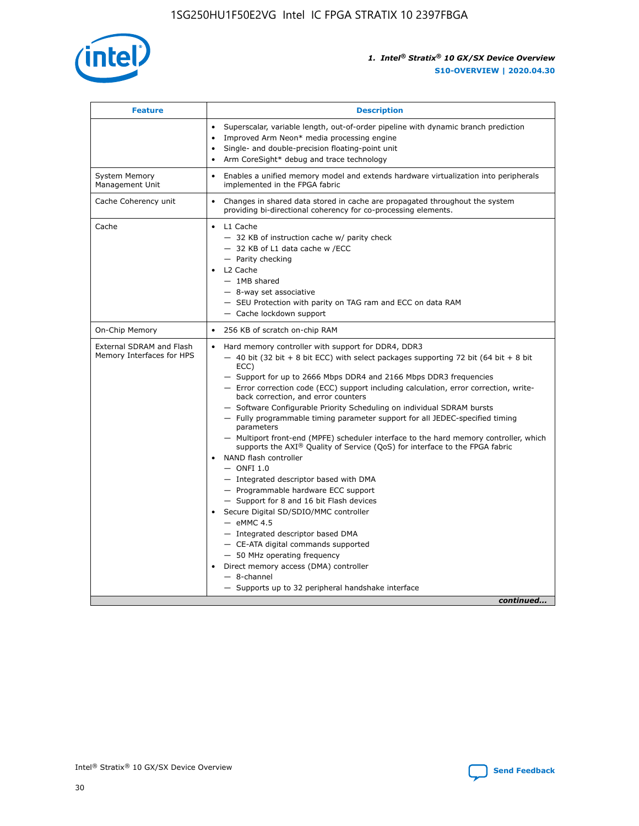

| <b>Feature</b>                                        | <b>Description</b>                                                                                                                                                                                                                                                                                                                                                                                                                                                                                                                                                                                                                                                                                                                                                                                                                                                                                                                                                                                                                                                                                                                                                                                                       |  |
|-------------------------------------------------------|--------------------------------------------------------------------------------------------------------------------------------------------------------------------------------------------------------------------------------------------------------------------------------------------------------------------------------------------------------------------------------------------------------------------------------------------------------------------------------------------------------------------------------------------------------------------------------------------------------------------------------------------------------------------------------------------------------------------------------------------------------------------------------------------------------------------------------------------------------------------------------------------------------------------------------------------------------------------------------------------------------------------------------------------------------------------------------------------------------------------------------------------------------------------------------------------------------------------------|--|
|                                                       | Superscalar, variable length, out-of-order pipeline with dynamic branch prediction<br>Improved Arm Neon* media processing engine<br>$\bullet$<br>Single- and double-precision floating-point unit<br>Arm CoreSight* debug and trace technology<br>$\bullet$                                                                                                                                                                                                                                                                                                                                                                                                                                                                                                                                                                                                                                                                                                                                                                                                                                                                                                                                                              |  |
| <b>System Memory</b><br>Management Unit               | Enables a unified memory model and extends hardware virtualization into peripherals<br>implemented in the FPGA fabric                                                                                                                                                                                                                                                                                                                                                                                                                                                                                                                                                                                                                                                                                                                                                                                                                                                                                                                                                                                                                                                                                                    |  |
| Cache Coherency unit                                  | Changes in shared data stored in cache are propagated throughout the system<br>$\bullet$<br>providing bi-directional coherency for co-processing elements.                                                                                                                                                                                                                                                                                                                                                                                                                                                                                                                                                                                                                                                                                                                                                                                                                                                                                                                                                                                                                                                               |  |
| Cache                                                 | L1 Cache<br>$\bullet$<br>- 32 KB of instruction cache w/ parity check<br>- 32 KB of L1 data cache w /ECC<br>- Parity checking<br>L <sub>2</sub> Cache<br>- 1MB shared<br>- 8-way set associative<br>- SEU Protection with parity on TAG ram and ECC on data RAM<br>- Cache lockdown support                                                                                                                                                                                                                                                                                                                                                                                                                                                                                                                                                                                                                                                                                                                                                                                                                                                                                                                              |  |
| On-Chip Memory                                        | 256 KB of scratch on-chip RAM                                                                                                                                                                                                                                                                                                                                                                                                                                                                                                                                                                                                                                                                                                                                                                                                                                                                                                                                                                                                                                                                                                                                                                                            |  |
| External SDRAM and Flash<br>Memory Interfaces for HPS | Hard memory controller with support for DDR4, DDR3<br>$\bullet$<br>$-$ 40 bit (32 bit + 8 bit ECC) with select packages supporting 72 bit (64 bit + 8 bit<br>ECC)<br>- Support for up to 2666 Mbps DDR4 and 2166 Mbps DDR3 frequencies<br>- Error correction code (ECC) support including calculation, error correction, write-<br>back correction, and error counters<br>- Software Configurable Priority Scheduling on individual SDRAM bursts<br>- Fully programmable timing parameter support for all JEDEC-specified timing<br>parameters<br>- Multiport front-end (MPFE) scheduler interface to the hard memory controller, which<br>supports the $AXI^{\circledR}$ Quality of Service (QoS) for interface to the FPGA fabric<br>NAND flash controller<br>$-$ ONFI 1.0<br>- Integrated descriptor based with DMA<br>- Programmable hardware ECC support<br>- Support for 8 and 16 bit Flash devices<br>Secure Digital SD/SDIO/MMC controller<br>$-$ eMMC 4.5<br>- Integrated descriptor based DMA<br>- CE-ATA digital commands supported<br>- 50 MHz operating frequency<br>Direct memory access (DMA) controller<br>$\bullet$<br>$-$ 8-channel<br>- Supports up to 32 peripheral handshake interface<br>continued |  |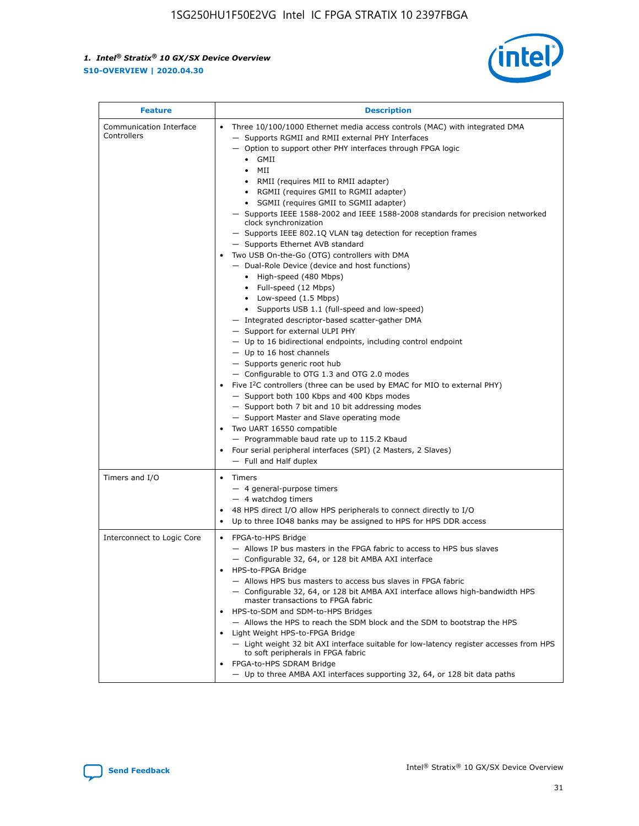

| <b>Feature</b>                         | <b>Description</b>                                                                                                                                                                                                                                                                                                                                                                                                                                                                                                                                                                                                                                                                                                                                                                                                                                                                                                                                                                                                                                                                                                                                                                                                                                                                                                                                                                                                                                                                                                  |
|----------------------------------------|---------------------------------------------------------------------------------------------------------------------------------------------------------------------------------------------------------------------------------------------------------------------------------------------------------------------------------------------------------------------------------------------------------------------------------------------------------------------------------------------------------------------------------------------------------------------------------------------------------------------------------------------------------------------------------------------------------------------------------------------------------------------------------------------------------------------------------------------------------------------------------------------------------------------------------------------------------------------------------------------------------------------------------------------------------------------------------------------------------------------------------------------------------------------------------------------------------------------------------------------------------------------------------------------------------------------------------------------------------------------------------------------------------------------------------------------------------------------------------------------------------------------|
| Communication Interface<br>Controllers | Three 10/100/1000 Ethernet media access controls (MAC) with integrated DMA<br>$\bullet$<br>- Supports RGMII and RMII external PHY Interfaces<br>- Option to support other PHY interfaces through FPGA logic<br>GMII<br>$\bullet$<br>MII<br>$\bullet$<br>• RMII (requires MII to RMII adapter)<br>• RGMII (requires GMII to RGMII adapter)<br>• SGMII (requires GMII to SGMII adapter)<br>- Supports IEEE 1588-2002 and IEEE 1588-2008 standards for precision networked<br>clock synchronization<br>- Supports IEEE 802.1Q VLAN tag detection for reception frames<br>- Supports Ethernet AVB standard<br>Two USB On-the-Go (OTG) controllers with DMA<br>- Dual-Role Device (device and host functions)<br>• High-speed (480 Mbps)<br>• Full-speed (12 Mbps)<br>• Low-speed (1.5 Mbps)<br>• Supports USB 1.1 (full-speed and low-speed)<br>- Integrated descriptor-based scatter-gather DMA<br>- Support for external ULPI PHY<br>- Up to 16 bidirectional endpoints, including control endpoint<br>$-$ Up to 16 host channels<br>- Supports generic root hub<br>- Configurable to OTG 1.3 and OTG 2.0 modes<br>Five $I^2C$ controllers (three can be used by EMAC for MIO to external PHY)<br>- Support both 100 Kbps and 400 Kbps modes<br>- Support both 7 bit and 10 bit addressing modes<br>- Support Master and Slave operating mode<br>Two UART 16550 compatible<br>- Programmable baud rate up to 115.2 Kbaud<br>• Four serial peripheral interfaces (SPI) (2 Masters, 2 Slaves)<br>- Full and Half duplex |
| Timers and I/O                         | $\bullet$ Timers<br>- 4 general-purpose timers<br>$-4$ watchdog timers<br>48 HPS direct I/O allow HPS peripherals to connect directly to I/O<br>Up to three IO48 banks may be assigned to HPS for HPS DDR access                                                                                                                                                                                                                                                                                                                                                                                                                                                                                                                                                                                                                                                                                                                                                                                                                                                                                                                                                                                                                                                                                                                                                                                                                                                                                                    |
| Interconnect to Logic Core             | • FPGA-to-HPS Bridge<br>- Allows IP bus masters in the FPGA fabric to access to HPS bus slaves<br>- Configurable 32, 64, or 128 bit AMBA AXI interface<br>HPS-to-FPGA Bridge<br>- Allows HPS bus masters to access bus slaves in FPGA fabric<br>- Configurable 32, 64, or 128 bit AMBA AXI interface allows high-bandwidth HPS<br>master transactions to FPGA fabric<br>HPS-to-SDM and SDM-to-HPS Bridges<br>- Allows the HPS to reach the SDM block and the SDM to bootstrap the HPS<br>Light Weight HPS-to-FPGA Bridge<br>- Light weight 32 bit AXI interface suitable for low-latency register accesses from HPS<br>to soft peripherals in FPGA fabric<br>FPGA-to-HPS SDRAM Bridge<br>- Up to three AMBA AXI interfaces supporting 32, 64, or 128 bit data paths                                                                                                                                                                                                                                                                                                                                                                                                                                                                                                                                                                                                                                                                                                                                                 |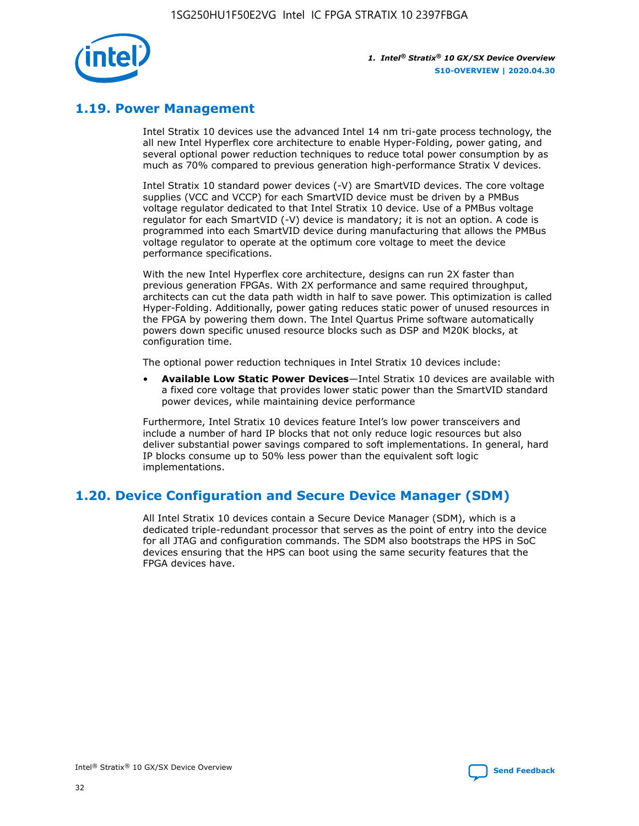

## **1.19. Power Management**

Intel Stratix 10 devices use the advanced Intel 14 nm tri-gate process technology, the all new Intel Hyperflex core architecture to enable Hyper-Folding, power gating, and several optional power reduction techniques to reduce total power consumption by as much as 70% compared to previous generation high-performance Stratix V devices.

Intel Stratix 10 standard power devices (-V) are SmartVID devices. The core voltage supplies (VCC and VCCP) for each SmartVID device must be driven by a PMBus voltage regulator dedicated to that Intel Stratix 10 device. Use of a PMBus voltage regulator for each SmartVID (-V) device is mandatory; it is not an option. A code is programmed into each SmartVID device during manufacturing that allows the PMBus voltage regulator to operate at the optimum core voltage to meet the device performance specifications.

With the new Intel Hyperflex core architecture, designs can run 2X faster than previous generation FPGAs. With 2X performance and same required throughput, architects can cut the data path width in half to save power. This optimization is called Hyper-Folding. Additionally, power gating reduces static power of unused resources in the FPGA by powering them down. The Intel Quartus Prime software automatically powers down specific unused resource blocks such as DSP and M20K blocks, at configuration time.

The optional power reduction techniques in Intel Stratix 10 devices include:

• **Available Low Static Power Devices**—Intel Stratix 10 devices are available with a fixed core voltage that provides lower static power than the SmartVID standard power devices, while maintaining device performance

Furthermore, Intel Stratix 10 devices feature Intel's low power transceivers and include a number of hard IP blocks that not only reduce logic resources but also deliver substantial power savings compared to soft implementations. In general, hard IP blocks consume up to 50% less power than the equivalent soft logic implementations.

## **1.20. Device Configuration and Secure Device Manager (SDM)**

All Intel Stratix 10 devices contain a Secure Device Manager (SDM), which is a dedicated triple-redundant processor that serves as the point of entry into the device for all JTAG and configuration commands. The SDM also bootstraps the HPS in SoC devices ensuring that the HPS can boot using the same security features that the FPGA devices have.

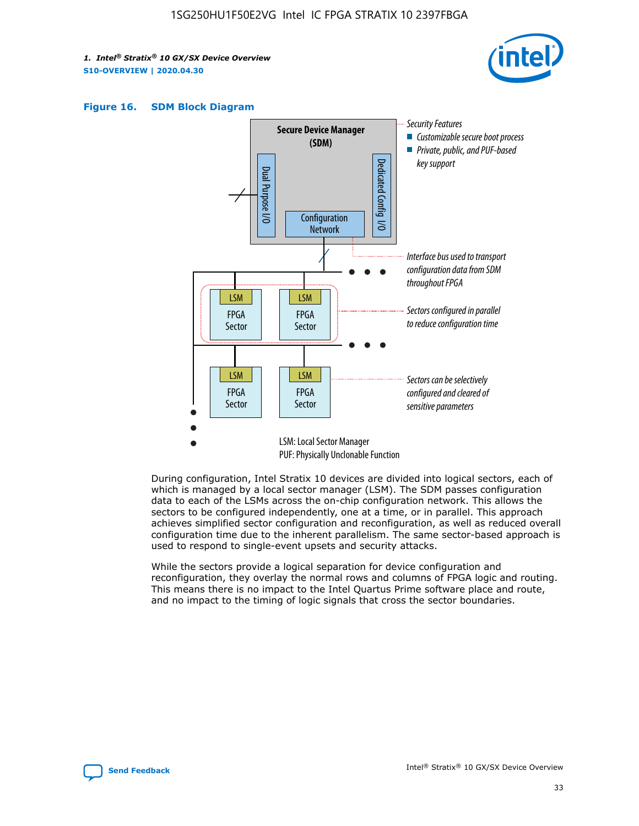





During configuration, Intel Stratix 10 devices are divided into logical sectors, each of which is managed by a local sector manager (LSM). The SDM passes configuration data to each of the LSMs across the on-chip configuration network. This allows the sectors to be configured independently, one at a time, or in parallel. This approach achieves simplified sector configuration and reconfiguration, as well as reduced overall configuration time due to the inherent parallelism. The same sector-based approach is used to respond to single-event upsets and security attacks.

While the sectors provide a logical separation for device configuration and reconfiguration, they overlay the normal rows and columns of FPGA logic and routing. This means there is no impact to the Intel Quartus Prime software place and route, and no impact to the timing of logic signals that cross the sector boundaries.

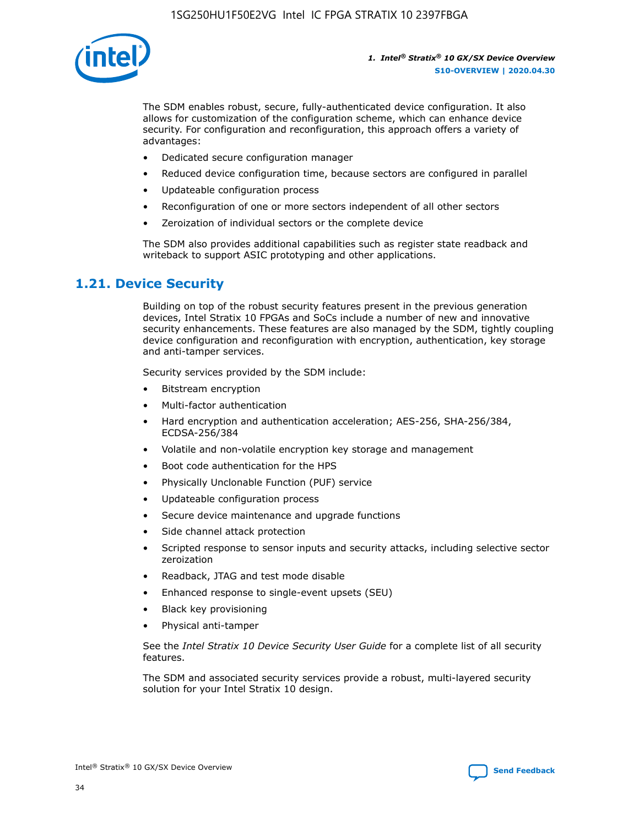

The SDM enables robust, secure, fully-authenticated device configuration. It also allows for customization of the configuration scheme, which can enhance device security. For configuration and reconfiguration, this approach offers a variety of advantages:

- Dedicated secure configuration manager
- Reduced device configuration time, because sectors are configured in parallel
- Updateable configuration process
- Reconfiguration of one or more sectors independent of all other sectors
- Zeroization of individual sectors or the complete device

The SDM also provides additional capabilities such as register state readback and writeback to support ASIC prototyping and other applications.

## **1.21. Device Security**

Building on top of the robust security features present in the previous generation devices, Intel Stratix 10 FPGAs and SoCs include a number of new and innovative security enhancements. These features are also managed by the SDM, tightly coupling device configuration and reconfiguration with encryption, authentication, key storage and anti-tamper services.

Security services provided by the SDM include:

- Bitstream encryption
- Multi-factor authentication
- Hard encryption and authentication acceleration; AES-256, SHA-256/384, ECDSA-256/384
- Volatile and non-volatile encryption key storage and management
- Boot code authentication for the HPS
- Physically Unclonable Function (PUF) service
- Updateable configuration process
- Secure device maintenance and upgrade functions
- Side channel attack protection
- Scripted response to sensor inputs and security attacks, including selective sector zeroization
- Readback, JTAG and test mode disable
- Enhanced response to single-event upsets (SEU)
- Black key provisioning
- Physical anti-tamper

See the *Intel Stratix 10 Device Security User Guide* for a complete list of all security features.

The SDM and associated security services provide a robust, multi-layered security solution for your Intel Stratix 10 design.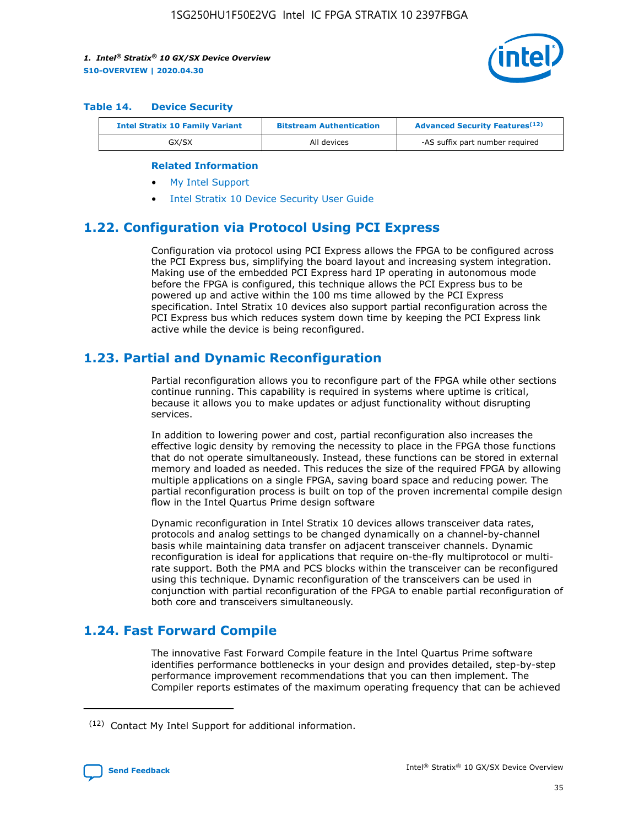

#### **Table 14. Device Security**

| <b>Intel Stratix 10 Family Variant</b> | <b>Bitstream Authentication</b> | <b>Advanced Security Features</b> <sup>(12)</sup> |  |
|----------------------------------------|---------------------------------|---------------------------------------------------|--|
| GX/SX                                  | All devices                     | -AS suffix part number required                   |  |

#### **Related Information**

- [My Intel Support](https://www.intel.com/content/www/us/en/programmable/my-intel/mal-home.html)
- [Intel Stratix 10 Device Security User Guide](https://www.intel.com/content/www/us/en/programmable/documentation/ndq1483601370898.html#wcd1483611014402)

## **1.22. Configuration via Protocol Using PCI Express**

Configuration via protocol using PCI Express allows the FPGA to be configured across the PCI Express bus, simplifying the board layout and increasing system integration. Making use of the embedded PCI Express hard IP operating in autonomous mode before the FPGA is configured, this technique allows the PCI Express bus to be powered up and active within the 100 ms time allowed by the PCI Express specification. Intel Stratix 10 devices also support partial reconfiguration across the PCI Express bus which reduces system down time by keeping the PCI Express link active while the device is being reconfigured.

## **1.23. Partial and Dynamic Reconfiguration**

Partial reconfiguration allows you to reconfigure part of the FPGA while other sections continue running. This capability is required in systems where uptime is critical, because it allows you to make updates or adjust functionality without disrupting services.

In addition to lowering power and cost, partial reconfiguration also increases the effective logic density by removing the necessity to place in the FPGA those functions that do not operate simultaneously. Instead, these functions can be stored in external memory and loaded as needed. This reduces the size of the required FPGA by allowing multiple applications on a single FPGA, saving board space and reducing power. The partial reconfiguration process is built on top of the proven incremental compile design flow in the Intel Quartus Prime design software

Dynamic reconfiguration in Intel Stratix 10 devices allows transceiver data rates, protocols and analog settings to be changed dynamically on a channel-by-channel basis while maintaining data transfer on adjacent transceiver channels. Dynamic reconfiguration is ideal for applications that require on-the-fly multiprotocol or multirate support. Both the PMA and PCS blocks within the transceiver can be reconfigured using this technique. Dynamic reconfiguration of the transceivers can be used in conjunction with partial reconfiguration of the FPGA to enable partial reconfiguration of both core and transceivers simultaneously.

## **1.24. Fast Forward Compile**

The innovative Fast Forward Compile feature in the Intel Quartus Prime software identifies performance bottlenecks in your design and provides detailed, step-by-step performance improvement recommendations that you can then implement. The Compiler reports estimates of the maximum operating frequency that can be achieved

<sup>(12)</sup> Contact My Intel Support for additional information.

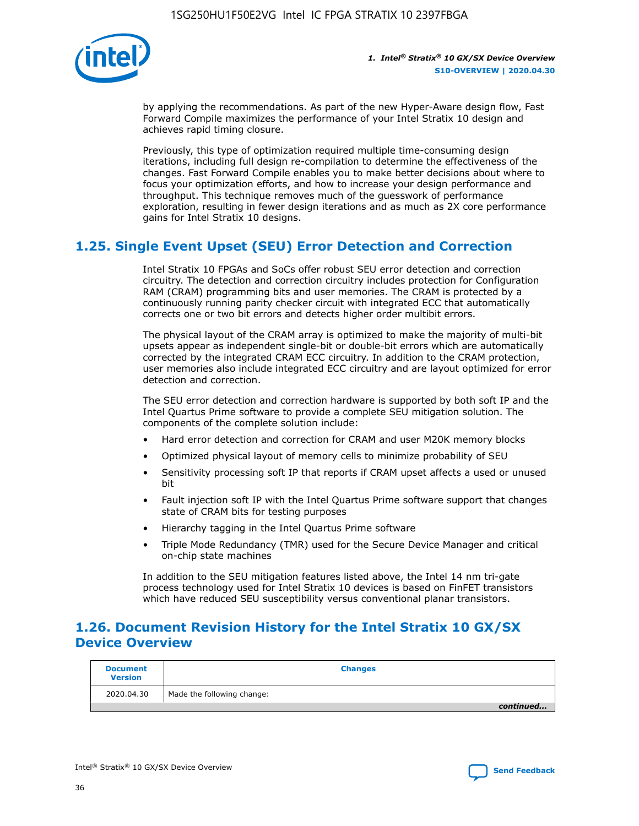

by applying the recommendations. As part of the new Hyper-Aware design flow, Fast Forward Compile maximizes the performance of your Intel Stratix 10 design and achieves rapid timing closure.

Previously, this type of optimization required multiple time-consuming design iterations, including full design re-compilation to determine the effectiveness of the changes. Fast Forward Compile enables you to make better decisions about where to focus your optimization efforts, and how to increase your design performance and throughput. This technique removes much of the guesswork of performance exploration, resulting in fewer design iterations and as much as 2X core performance gains for Intel Stratix 10 designs.

## **1.25. Single Event Upset (SEU) Error Detection and Correction**

Intel Stratix 10 FPGAs and SoCs offer robust SEU error detection and correction circuitry. The detection and correction circuitry includes protection for Configuration RAM (CRAM) programming bits and user memories. The CRAM is protected by a continuously running parity checker circuit with integrated ECC that automatically corrects one or two bit errors and detects higher order multibit errors.

The physical layout of the CRAM array is optimized to make the majority of multi-bit upsets appear as independent single-bit or double-bit errors which are automatically corrected by the integrated CRAM ECC circuitry. In addition to the CRAM protection, user memories also include integrated ECC circuitry and are layout optimized for error detection and correction.

The SEU error detection and correction hardware is supported by both soft IP and the Intel Quartus Prime software to provide a complete SEU mitigation solution. The components of the complete solution include:

- Hard error detection and correction for CRAM and user M20K memory blocks
- Optimized physical layout of memory cells to minimize probability of SEU
- Sensitivity processing soft IP that reports if CRAM upset affects a used or unused bit
- Fault injection soft IP with the Intel Quartus Prime software support that changes state of CRAM bits for testing purposes
- Hierarchy tagging in the Intel Quartus Prime software
- Triple Mode Redundancy (TMR) used for the Secure Device Manager and critical on-chip state machines

In addition to the SEU mitigation features listed above, the Intel 14 nm tri-gate process technology used for Intel Stratix 10 devices is based on FinFET transistors which have reduced SEU susceptibility versus conventional planar transistors.

## **1.26. Document Revision History for the Intel Stratix 10 GX/SX Device Overview**

| <b>Document</b><br><b>Version</b> | <b>Changes</b>             |
|-----------------------------------|----------------------------|
| 2020.04.30                        | Made the following change: |
|                                   | continued                  |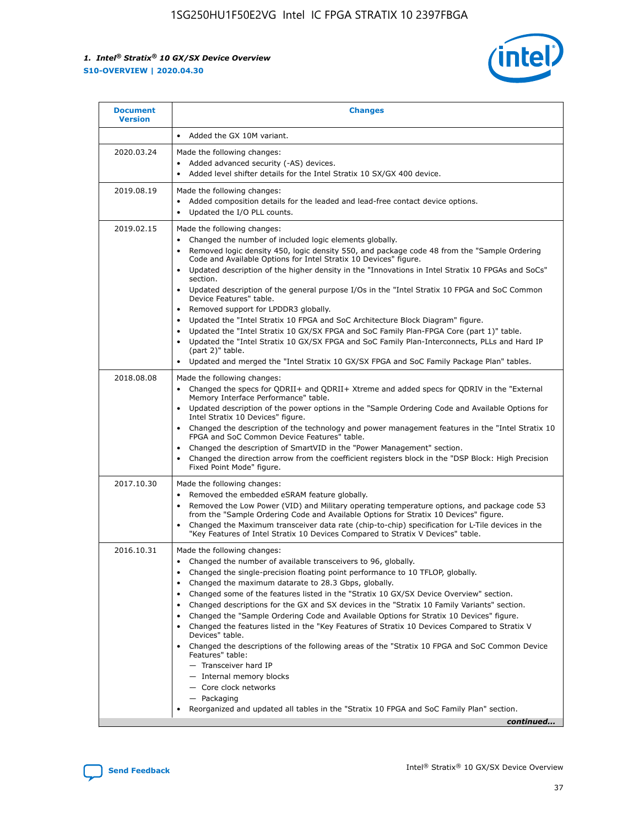

| • Added the GX 10M variant.<br>Made the following changes:<br>Added advanced security (-AS) devices.<br>$\bullet$<br>Added level shifter details for the Intel Stratix 10 SX/GX 400 device.<br>$\bullet$<br>Made the following changes:<br>Added composition details for the leaded and lead-free contact device options.                                                                                                                                                                                                                                                                                                                                                                                                                                                                                                                                                                                                                                                                                                     |
|-------------------------------------------------------------------------------------------------------------------------------------------------------------------------------------------------------------------------------------------------------------------------------------------------------------------------------------------------------------------------------------------------------------------------------------------------------------------------------------------------------------------------------------------------------------------------------------------------------------------------------------------------------------------------------------------------------------------------------------------------------------------------------------------------------------------------------------------------------------------------------------------------------------------------------------------------------------------------------------------------------------------------------|
|                                                                                                                                                                                                                                                                                                                                                                                                                                                                                                                                                                                                                                                                                                                                                                                                                                                                                                                                                                                                                               |
|                                                                                                                                                                                                                                                                                                                                                                                                                                                                                                                                                                                                                                                                                                                                                                                                                                                                                                                                                                                                                               |
| Updated the I/O PLL counts.<br>$\bullet$                                                                                                                                                                                                                                                                                                                                                                                                                                                                                                                                                                                                                                                                                                                                                                                                                                                                                                                                                                                      |
| Made the following changes:<br>Changed the number of included logic elements globally.<br>$\bullet$<br>Removed logic density 450, logic density 550, and package code 48 from the "Sample Ordering<br>$\bullet$<br>Code and Available Options for Intel Stratix 10 Devices" figure.<br>Updated description of the higher density in the "Innovations in Intel Stratix 10 FPGAs and SoCs"<br>section.<br>Updated description of the general purpose I/Os in the "Intel Stratix 10 FPGA and SoC Common<br>$\bullet$<br>Device Features" table.<br>Removed support for LPDDR3 globally.<br>٠<br>Updated the "Intel Stratix 10 FPGA and SoC Architecture Block Diagram" figure.<br>Updated the "Intel Stratix 10 GX/SX FPGA and SoC Family Plan-FPGA Core (part 1)" table.<br>$\bullet$<br>Updated the "Intel Stratix 10 GX/SX FPGA and SoC Family Plan-Interconnects, PLLs and Hard IP<br>$\bullet$<br>(part 2)" table.<br>Updated and merged the "Intel Stratix 10 GX/SX FPGA and SoC Family Package Plan" tables.<br>$\bullet$ |
| Made the following changes:<br>Changed the specs for ODRII+ and ODRII+ Xtreme and added specs for ODRIV in the "External<br>$\bullet$<br>Memory Interface Performance" table.<br>Updated description of the power options in the "Sample Ordering Code and Available Options for<br>Intel Stratix 10 Devices" figure.<br>Changed the description of the technology and power management features in the "Intel Stratix 10<br>FPGA and SoC Common Device Features" table.<br>Changed the description of SmartVID in the "Power Management" section.<br>Changed the direction arrow from the coefficient registers block in the "DSP Block: High Precision<br>Fixed Point Mode" figure.                                                                                                                                                                                                                                                                                                                                         |
| Made the following changes:<br>Removed the embedded eSRAM feature globally.<br>$\bullet$<br>Removed the Low Power (VID) and Military operating temperature options, and package code 53<br>$\bullet$<br>from the "Sample Ordering Code and Available Options for Stratix 10 Devices" figure.<br>Changed the Maximum transceiver data rate (chip-to-chip) specification for L-Tile devices in the<br>٠<br>"Key Features of Intel Stratix 10 Devices Compared to Stratix V Devices" table.                                                                                                                                                                                                                                                                                                                                                                                                                                                                                                                                      |
| Made the following changes:<br>• Changed the number of available transceivers to 96, globally.<br>Changed the single-precision floating point performance to 10 TFLOP, globally.<br>Changed the maximum datarate to 28.3 Gbps, globally.<br>Changed some of the features listed in the "Stratix 10 GX/SX Device Overview" section.<br>٠<br>Changed descriptions for the GX and SX devices in the "Stratix 10 Family Variants" section.<br>٠<br>Changed the "Sample Ordering Code and Available Options for Stratix 10 Devices" figure.<br>٠<br>Changed the features listed in the "Key Features of Stratix 10 Devices Compared to Stratix V<br>٠<br>Devices" table.<br>Changed the descriptions of the following areas of the "Stratix 10 FPGA and SoC Common Device<br>Features" table:<br>- Transceiver hard IP<br>- Internal memory blocks<br>- Core clock networks<br>- Packaging<br>Reorganized and updated all tables in the "Stratix 10 FPGA and SoC Family Plan" section.<br>continued                                |
|                                                                                                                                                                                                                                                                                                                                                                                                                                                                                                                                                                                                                                                                                                                                                                                                                                                                                                                                                                                                                               |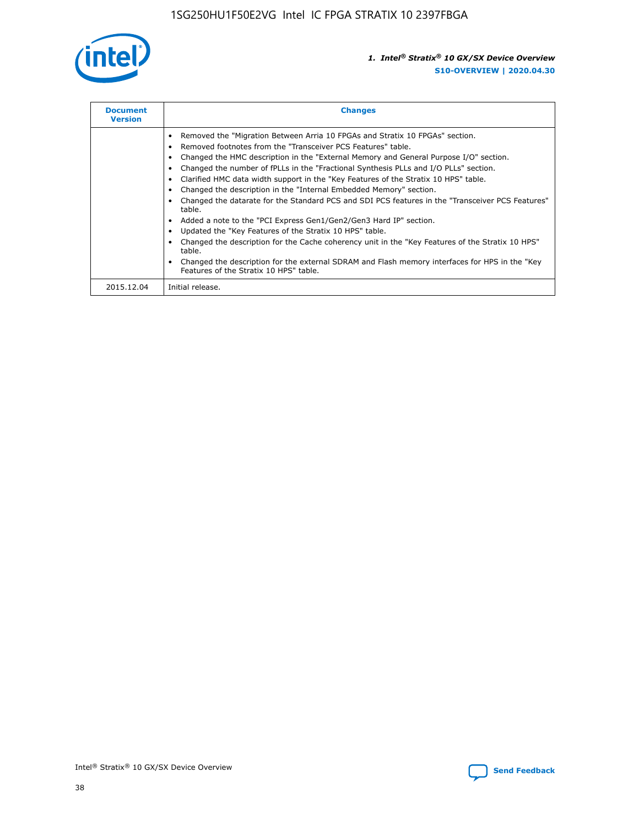

| <b>Document</b><br><b>Version</b> | <b>Changes</b>                                                                                                                                                                                                                                                                                                                                                                                                                                                                                                                                                                                                                                                                                                                                                                                                                                                                                                                                                                                     |
|-----------------------------------|----------------------------------------------------------------------------------------------------------------------------------------------------------------------------------------------------------------------------------------------------------------------------------------------------------------------------------------------------------------------------------------------------------------------------------------------------------------------------------------------------------------------------------------------------------------------------------------------------------------------------------------------------------------------------------------------------------------------------------------------------------------------------------------------------------------------------------------------------------------------------------------------------------------------------------------------------------------------------------------------------|
|                                   | Removed the "Migration Between Arria 10 FPGAs and Stratix 10 FPGAs" section.<br>Removed footnotes from the "Transceiver PCS Features" table.<br>Changed the HMC description in the "External Memory and General Purpose I/O" section.<br>Changed the number of fPLLs in the "Fractional Synthesis PLLs and I/O PLLs" section.<br>Clarified HMC data width support in the "Key Features of the Stratix 10 HPS" table.<br>Changed the description in the "Internal Embedded Memory" section.<br>Changed the datarate for the Standard PCS and SDI PCS features in the "Transceiver PCS Features"<br>table.<br>Added a note to the "PCI Express Gen1/Gen2/Gen3 Hard IP" section.<br>Updated the "Key Features of the Stratix 10 HPS" table.<br>Changed the description for the Cache coherency unit in the "Key Features of the Stratix 10 HPS"<br>table.<br>Changed the description for the external SDRAM and Flash memory interfaces for HPS in the "Key<br>Features of the Stratix 10 HPS" table. |
| 2015.12.04                        | Initial release.                                                                                                                                                                                                                                                                                                                                                                                                                                                                                                                                                                                                                                                                                                                                                                                                                                                                                                                                                                                   |